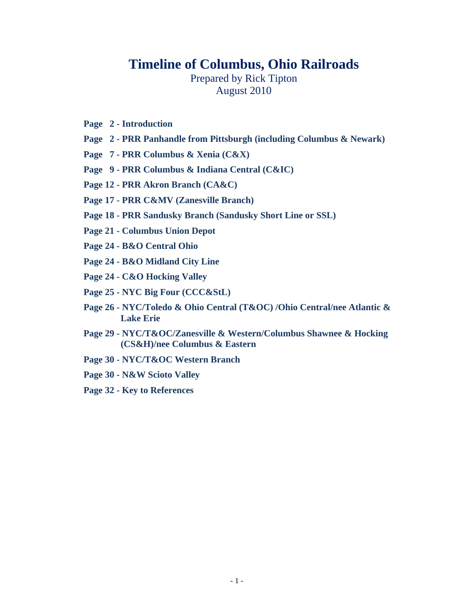## **Timeline of Columbus, Ohio Railroads**

Prepared by Rick Tipton August 2010

- **Page 2 Introduction**
- **Page 2 PRR Panhandle from Pittsburgh (including Columbus & Newark)**
- **Page 7 PRR Columbus & Xenia (C&X)**
- **Page 9 PRR Columbus & Indiana Central (C&IC)**
- **Page 12 PRR Akron Branch (CA&C)**
- **Page 17 PRR C&MV (Zanesville Branch)**
- **Page 18 PRR Sandusky Branch (Sandusky Short Line or SSL)**
- **Page 21 Columbus Union Depot**
- **Page 24 B&O Central Ohio**
- **Page 24 B&O Midland City Line**
- **Page 24 C&O Hocking Valley**
- **Page 25 NYC Big Four (CCC&StL)**
- **Page 26 NYC/Toledo & Ohio Central (T&OC) /Ohio Central/nee Atlantic & Lake Erie**
- **Page 29 NYC/T&OC/Zanesville & Western/Columbus Shawnee & Hocking (CS&H)/nee Columbus & Eastern**
- **Page 30 NYC/T&OC Western Branch**
- **Page 30 N&W Scioto Valley**
- **Page 32 Key to References**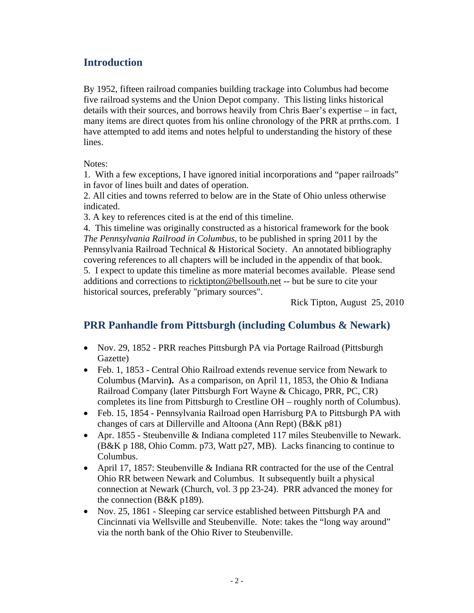#### **Introduction**

By 1952, fifteen railroad companies building trackage into Columbus had become five railroad systems and the Union Depot company. This listing links historical details with their sources, and borrows heavily from Chris Baer's expertise – in fact, many items are direct quotes from his online chronology of the PRR at prrths.com. I have attempted to add items and notes helpful to understanding the history of these lines.

Notes:

1. With a few exceptions, I have ignored initial incorporations and "paper railroads" in favor of lines built and dates of operation.

2. All cities and towns referred to below are in the State of Ohio unless otherwise indicated.

3. A key to references cited is at the end of this timeline.

4. This timeline was originally constructed as a historical framework for the book *The Pennsylvania Railroad in Columbus*, to be published in spring 2011 by the Pennsylvania Railroad Technical & Historical Society. An annotated bibliography covering references to all chapters will be included in the appendix of that book. 5. I expect to update this timeline as more material becomes available. Please send additions and corrections to ricktipton@bellsouth.net -- but be sure to cite your historical sources, preferably "primary sources".

Rick Tipton, August 25, 2010

## **PRR Panhandle from Pittsburgh (including Columbus & Newark)**

- Nov. 29, 1852 PRR reaches Pittsburgh PA via Portage Railroad (Pittsburgh Gazette)
- Feb. 1, 1853 Central Ohio Railroad extends revenue service from Newark to Columbus (Marvin**).** As a comparison, on April 11, 1853, the Ohio & Indiana Railroad Company (later Pittsburgh Fort Wayne & Chicago, PRR, PC, CR) completes its line from Pittsburgh to Crestline OH – roughly north of Columbus).
- Feb. 15, 1854 Pennsylvania Railroad open Harrisburg PA to Pittsburgh PA with changes of cars at Dillerville and Altoona (Ann Rept) (B&K p81)
- Apr. 1855 Steubenville & Indiana completed 117 miles Steubenville to Newark. (B&K p 188, Ohio Comm. p73, Watt p27, MB). Lacks financing to continue to Columbus.
- April 17, 1857: Steubenville & Indiana RR contracted for the use of the Central Ohio RR between Newark and Columbus. It subsequently built a physical connection at Newark (Church, vol. 3 pp 23-24). PRR advanced the money for the connection (B&K p189).
- Nov. 25, 1861 Sleeping car service established between Pittsburgh PA and Cincinnati via Wellsville and Steubenville. Note: takes the "long way around" via the north bank of the Ohio River to Steubenville.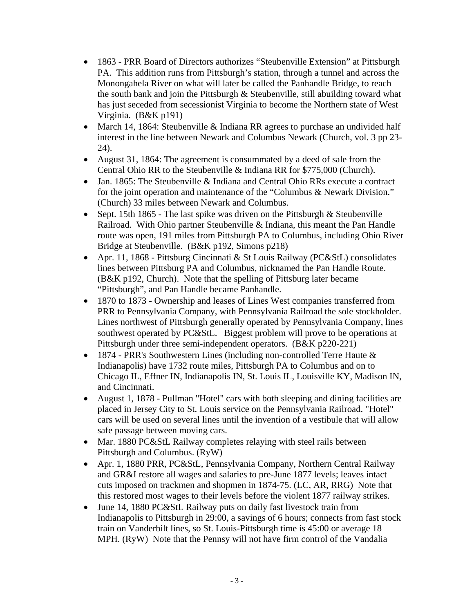- 1863 PRR Board of Directors authorizes "Steubenville Extension" at Pittsburgh PA. This addition runs from Pittsburgh's station, through a tunnel and across the Monongahela River on what will later be called the Panhandle Bridge, to reach the south bank and join the Pittsburgh & Steubenville, still abuilding toward what has just seceded from secessionist Virginia to become the Northern state of West Virginia. (B&K p191)
- March 14, 1864: Steubenville & Indiana RR agrees to purchase an undivided half interest in the line between Newark and Columbus Newark (Church, vol. 3 pp 23- 24).
- August 31, 1864: The agreement is consummated by a deed of sale from the Central Ohio RR to the Steubenville & Indiana RR for \$775,000 (Church).
- Jan. 1865: The Steubenville & Indiana and Central Ohio RRs execute a contract for the joint operation and maintenance of the "Columbus & Newark Division." (Church) 33 miles between Newark and Columbus.
- Sept. 15th 1865 The last spike was driven on the Pittsburgh  $&$  Steubenville Railroad. With Ohio partner Steubenville & Indiana, this meant the Pan Handle route was open, 191 miles from Pittsburgh PA to Columbus, including Ohio River Bridge at Steubenville. (B&K p192, Simons p218)
- Apr. 11, 1868 Pittsburg Cincinnati & St Louis Railway (PC&StL) consolidates lines between Pittsburg PA and Columbus, nicknamed the Pan Handle Route. (B&K p192, Church). Note that the spelling of Pittsburg later became "Pittsburgh", and Pan Handle became Panhandle.
- 1870 to 1873 Ownership and leases of Lines West companies transferred from PRR to Pennsylvania Company, with Pennsylvania Railroad the sole stockholder. Lines northwest of Pittsburgh generally operated by Pennsylvania Company, lines southwest operated by PC&StL. Biggest problem will prove to be operations at Pittsburgh under three semi-independent operators. (B&K p220-221)
- 1874 PRR's Southwestern Lines (including non-controlled Terre Haute  $\&$ Indianapolis) have 1732 route miles, Pittsburgh PA to Columbus and on to Chicago IL, Effner IN, Indianapolis IN, St. Louis IL, Louisville KY, Madison IN, and Cincinnati.
- August 1, 1878 Pullman "Hotel" cars with both sleeping and dining facilities are placed in Jersey City to St. Louis service on the Pennsylvania Railroad. "Hotel" cars will be used on several lines until the invention of a vestibule that will allow safe passage between moving cars.
- Mar. 1880 PC&StL Railway completes relaying with steel rails between Pittsburgh and Columbus. (RyW)
- Apr. 1, 1880 PRR, PC&StL, Pennsylvania Company, Northern Central Railway and GR&I restore all wages and salaries to pre-June 1877 levels; leaves intact cuts imposed on trackmen and shopmen in 1874-75. (LC, AR, RRG) Note that this restored most wages to their levels before the violent 1877 railway strikes.
- June 14, 1880 PC&StL Railway puts on daily fast livestock train from Indianapolis to Pittsburgh in 29:00, a savings of 6 hours; connects from fast stock train on Vanderbilt lines, so St. Louis-Pittsburgh time is 45:00 or average 18 MPH. (RyW) Note that the Pennsy will not have firm control of the Vandalia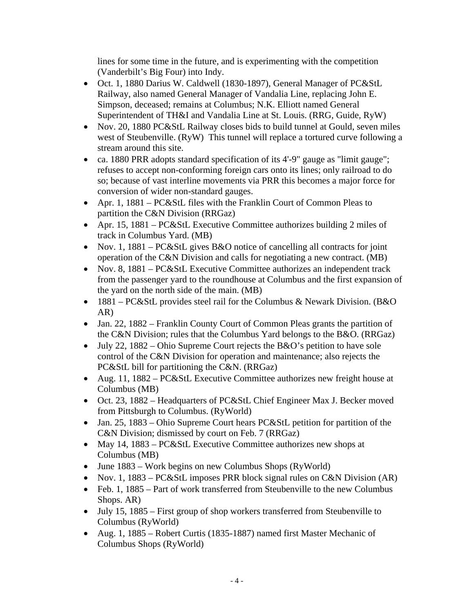lines for some time in the future, and is experimenting with the competition (Vanderbilt's Big Four) into Indy.

- Oct. 1, 1880 Darius W. Caldwell (1830-1897), General Manager of PC&StL Railway, also named General Manager of Vandalia Line, replacing John E. Simpson, deceased; remains at Columbus; N.K. Elliott named General Superintendent of TH&I and Vandalia Line at St. Louis. (RRG, Guide, RyW)
- Nov. 20, 1880 PC&StL Railway closes bids to build tunnel at Gould, seven miles west of Steubenville. (RyW) This tunnel will replace a tortured curve following a stream around this site.
- ca. 1880 PRR adopts standard specification of its 4'-9" gauge as "limit gauge"; refuses to accept non-conforming foreign cars onto its lines; only railroad to do so; because of vast interline movements via PRR this becomes a major force for conversion of wider non-standard gauges.
- Apr. 1, 1881 PC&StL files with the Franklin Court of Common Pleas to partition the C&N Division (RRGaz)
- Apr. 15, 1881 PC&StL Executive Committee authorizes building 2 miles of track in Columbus Yard. (MB)
- Nov. 1,  $1881 PCKSL$  gives B&O notice of cancelling all contracts for joint operation of the C&N Division and calls for negotiating a new contract. (MB)
- Nov. 8, 1881 PC&StL Executive Committee authorizes an independent track from the passenger yard to the roundhouse at Columbus and the first expansion of the yard on the north side of the main. (MB)
- 1881 PC&StL provides steel rail for the Columbus & Newark Division. (B&O) AR)
- Jan. 22, 1882 Franklin County Court of Common Pleas grants the partition of the C&N Division; rules that the Columbus Yard belongs to the B&O. (RRGaz)
- $\bullet$  July 22, 1882 Ohio Supreme Court rejects the B&O's petition to have sole control of the C&N Division for operation and maintenance; also rejects the PC&StL bill for partitioning the C&N. (RRGaz)
- Aug. 11, 1882 PC&StL Executive Committee authorizes new freight house at Columbus (MB)
- Oct. 23, 1882 Headquarters of PC&StL Chief Engineer Max J. Becker moved from Pittsburgh to Columbus. (RyWorld)
- Jan. 25, 1883 Ohio Supreme Court hears PC&StL petition for partition of the C&N Division; dismissed by court on Feb. 7 (RRGaz)
- May 14, 1883 PC&StL Executive Committee authorizes new shops at Columbus (MB)
- June 1883 Work begins on new Columbus Shops (RyWorld)
- Nov. 1, 1883 PC&StL imposes PRR block signal rules on C&N Division (AR)
- Feb. 1, 1885 Part of work transferred from Steubenville to the new Columbus Shops. AR)
- $\bullet$  July 15, 1885 First group of shop workers transferred from Steubenville to Columbus (RyWorld)
- Aug. 1, 1885 Robert Curtis (1835-1887) named first Master Mechanic of Columbus Shops (RyWorld)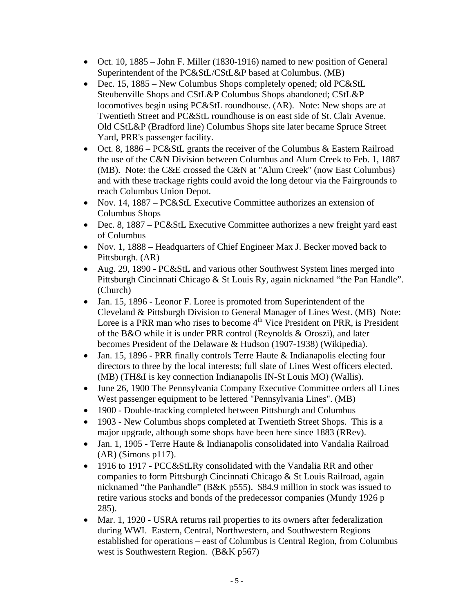- Oct. 10, 1885 John F. Miller (1830-1916) named to new position of General Superintendent of the PC&StL/CStL&P based at Columbus. (MB)
- Dec. 15, 1885 New Columbus Shops completely opened; old PC&StL Steubenville Shops and CStL&P Columbus Shops abandoned; CStL&P locomotives begin using PC&StL roundhouse. (AR). Note: New shops are at Twentieth Street and PC&StL roundhouse is on east side of St. Clair Avenue. Old CStL&P (Bradford line) Columbus Shops site later became Spruce Street Yard, PRR's passenger facility.
- Oct. 8, 1886 PC&StL grants the receiver of the Columbus & Eastern Railroad the use of the C&N Division between Columbus and Alum Creek to Feb. 1, 1887 (MB). Note: the C&E crossed the C&N at "Alum Creek" (now East Columbus) and with these trackage rights could avoid the long detour via the Fairgrounds to reach Columbus Union Depot.
- Nov. 14, 1887 PC&StL Executive Committee authorizes an extension of Columbus Shops
- Dec. 8, 1887 PC&StL Executive Committee authorizes a new freight yard east of Columbus
- Nov. 1, 1888 Headquarters of Chief Engineer Max J. Becker moved back to Pittsburgh. (AR)
- Aug. 29, 1890 PC&StL and various other Southwest System lines merged into Pittsburgh Cincinnati Chicago & St Louis Ry, again nicknamed "the Pan Handle". (Church)
- Jan. 15, 1896 Leonor F. Loree is promoted from Superintendent of the Cleveland & Pittsburgh Division to General Manager of Lines West. (MB) Note: Loree is a PRR man who rises to become  $4<sup>th</sup>$  Vice President on PRR, is President of the B&O while it is under PRR control (Reynolds & Oroszi), and later becomes President of the Delaware & Hudson (1907-1938) (Wikipedia).
- Jan. 15, 1896 PRR finally controls Terre Haute & Indianapolis electing four directors to three by the local interests; full slate of Lines West officers elected. (MB) (TH&I is key connection Indianapolis IN-St Louis MO) (Wallis).
- June 26, 1900 The Pennsylvania Company Executive Committee orders all Lines West passenger equipment to be lettered "Pennsylvania Lines". (MB)
- 1900 Double-tracking completed between Pittsburgh and Columbus
- 1903 New Columbus shops completed at Twentieth Street Shops. This is a major upgrade, although some shops have been here since 1883 (RRev).
- Jan. 1, 1905 Terre Haute & Indianapolis consolidated into Vandalia Railroad (AR) (Simons p117).
- 1916 to 1917 PCC&StLRy consolidated with the Vandalia RR and other companies to form Pittsburgh Cincinnati Chicago & St Louis Railroad, again nicknamed "the Panhandle" (B&K p555). \$84.9 million in stock was issued to retire various stocks and bonds of the predecessor companies (Mundy 1926 p 285).
- Mar. 1, 1920 USRA returns rail properties to its owners after federalization during WWI. Eastern, Central, Northwestern, and Southwestern Regions established for operations – east of Columbus is Central Region, from Columbus west is Southwestern Region. (B&K p567)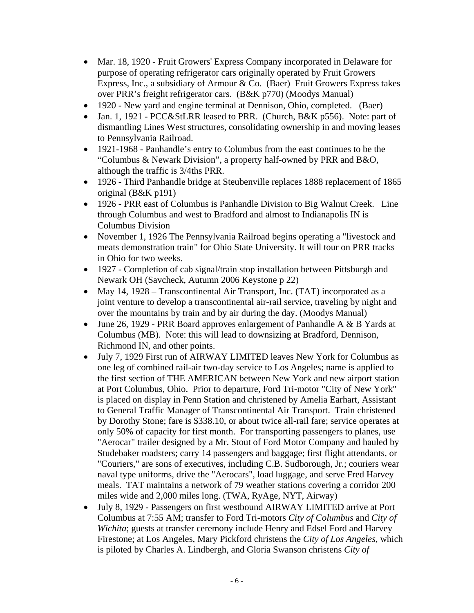- Mar. 18, 1920 Fruit Growers' Express Company incorporated in Delaware for purpose of operating refrigerator cars originally operated by Fruit Growers Express, Inc., a subsidiary of Armour & Co. (Baer) Fruit Growers Express takes over PRR's freight refrigerator cars. (B&K p770) (Moodys Manual)
- 1920 New yard and engine terminal at Dennison, Ohio, completed. (Baer)
- Jan. 1, 1921 PCC&StLRR leased to PRR. (Church, B&K p556). Note: part of dismantling Lines West structures, consolidating ownership in and moving leases to Pennsylvania Railroad.
- 1921-1968 Panhandle's entry to Columbus from the east continues to be the "Columbus & Newark Division", a property half-owned by PRR and B&O, although the traffic is 3/4ths PRR.
- 1926 Third Panhandle bridge at Steubenville replaces 1888 replacement of 1865 original (B&K p191)
- 1926 PRR east of Columbus is Panhandle Division to Big Walnut Creek. Line through Columbus and west to Bradford and almost to Indianapolis IN is Columbus Division
- November 1, 1926 The Pennsylvania Railroad begins operating a "livestock and meats demonstration train" for Ohio State University. It will tour on PRR tracks in Ohio for two weeks.
- 1927 Completion of cab signal/train stop installation between Pittsburgh and Newark OH (Savcheck, Autumn 2006 Keystone p 22)
- May 14, 1928 Transcontinental Air Transport, Inc. (TAT) incorporated as a joint venture to develop a transcontinental air-rail service, traveling by night and over the mountains by train and by air during the day. (Moodys Manual)
- June 26, 1929 PRR Board approves enlargement of Panhandle A & B Yards at Columbus (MB). Note: this will lead to downsizing at Bradford, Dennison, Richmond IN, and other points.
- July 7, 1929 First run of AIRWAY LIMITED leaves New York for Columbus as one leg of combined rail-air two-day service to Los Angeles; name is applied to the first section of THE AMERICAN between New York and new airport station at Port Columbus, Ohio. Prior to departure, Ford Tri-motor "City of New York" is placed on display in Penn Station and christened by Amelia Earhart, Assistant to General Traffic Manager of Transcontinental Air Transport. Train christened by Dorothy Stone; fare is \$338.10, or about twice all-rail fare; service operates at only 50% of capacity for first month. For transporting passengers to planes, use "Aerocar" trailer designed by a Mr. Stout of Ford Motor Company and hauled by Studebaker roadsters; carry 14 passengers and baggage; first flight attendants, or "Couriers," are sons of executives, including C.B. Sudborough, Jr.; couriers wear naval type uniforms, drive the "Aerocars", load luggage, and serve Fred Harvey meals. TAT maintains a network of 79 weather stations covering a corridor 200 miles wide and 2,000 miles long. (TWA, RyAge, NYT, Airway)
- July 8, 1929 Passengers on first westbound AIRWAY LIMITED arrive at Port Columbus at 7:55 AM; transfer to Ford Tri-motors *City of Columbus* and *City of Wichita*; guests at transfer ceremony include Henry and Edsel Ford and Harvey Firestone; at Los Angeles, Mary Pickford christens the *City of Los Angeles*, which is piloted by Charles A. Lindbergh, and Gloria Swanson christens *City of*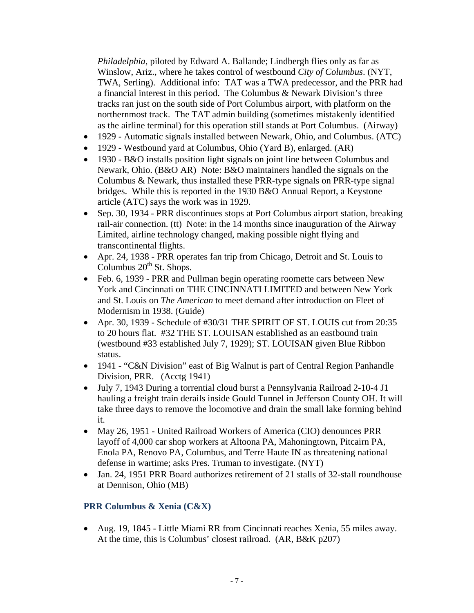*Philadelphia*, piloted by Edward A. Ballande; Lindbergh flies only as far as Winslow, Ariz., where he takes control of westbound *City of Columbus*. (NYT, TWA, Serling). Additional info: TAT was a TWA predecessor, and the PRR had a financial interest in this period. The Columbus & Newark Division's three tracks ran just on the south side of Port Columbus airport, with platform on the northernmost track. The TAT admin building (sometimes mistakenly identified as the airline terminal) for this operation still stands at Port Columbus. (Airway)

- 1929 Automatic signals installed between Newark, Ohio, and Columbus. (ATC)
- 1929 Westbound yard at Columbus, Ohio (Yard B), enlarged. (AR)
- 1930 B&O installs position light signals on joint line between Columbus and Newark, Ohio. (B&O AR) Note: B&O maintainers handled the signals on the Columbus & Newark, thus installed these PRR-type signals on PRR-type signal bridges. While this is reported in the 1930 B&O Annual Report, a Keystone article (ATC) says the work was in 1929.
- Sep. 30, 1934 PRR discontinues stops at Port Columbus airport station, breaking rail-air connection. (tt) Note: in the 14 months since inauguration of the Airway Limited, airline technology changed, making possible night flying and transcontinental flights.
- Apr. 24, 1938 PRR operates fan trip from Chicago, Detroit and St. Louis to Columbus  $20^{th}$  St. Shops.
- Feb. 6, 1939 PRR and Pullman begin operating roomette cars between New York and Cincinnati on THE CINCINNATI LIMITED and between New York and St. Louis on *The American* to meet demand after introduction on Fleet of Modernism in 1938. (Guide)
- Apr. 30, 1939 Schedule of #30/31 THE SPIRIT OF ST. LOUIS cut from 20:35 to 20 hours flat. #32 THE ST. LOUISAN established as an eastbound train (westbound #33 established July 7, 1929); ST. LOUISAN given Blue Ribbon status.
- 1941 "C&N Division" east of Big Walnut is part of Central Region Panhandle Division, PRR. (Acctg 1941)
- July 7, 1943 During a torrential cloud burst a Pennsylvania Railroad 2-10-4 J1 hauling a freight train derails inside Gould Tunnel in Jefferson County OH. It will take three days to remove the locomotive and drain the small lake forming behind it.
- May 26, 1951 United Railroad Workers of America (CIO) denounces PRR layoff of 4,000 car shop workers at Altoona PA, Mahoningtown, Pitcairn PA, Enola PA, Renovo PA, Columbus, and Terre Haute IN as threatening national defense in wartime; asks Pres. Truman to investigate. (NYT)
- Jan. 24, 1951 PRR Board authorizes retirement of 21 stalls of 32-stall roundhouse at Dennison, Ohio (MB)

#### **PRR Columbus & Xenia (C&X)**

 Aug. 19, 1845 - Little Miami RR from Cincinnati reaches Xenia, 55 miles away. At the time, this is Columbus' closest railroad. (AR, B&K p207)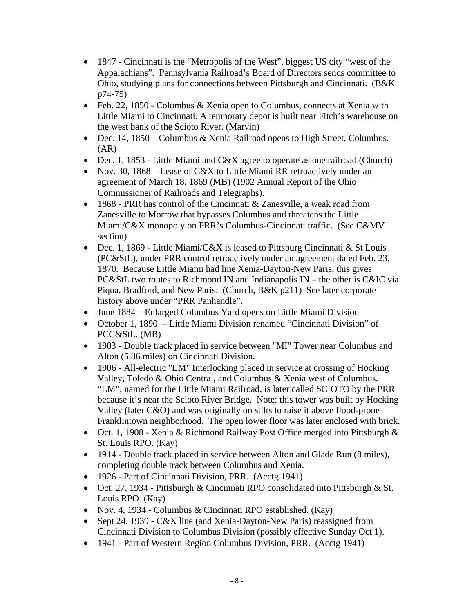- 1847 Cincinnati is the "Metropolis of the West", biggest US city "west of the Appalachians". Pennsylvania Railroad's Board of Directors sends committee to Ohio, studying plans for connections between Pittsburgh and Cincinnati. (B&K p74-75)
- Feb. 22, 1850 Columbus & Xenia open to Columbus, connects at Xenia with Little Miami to Cincinnati. A temporary depot is built near Fitch's warehouse on the west bank of the Scioto River. (Marvin)
- Dec. 14, 1850 Columbus & Xenia Railroad opens to High Street, Columbus.  $(AR)$
- Dec. 1, 1853 Little Miami and C&X agree to operate as one railroad (Church)
- Nov. 30, 1868 Lease of C&X to Little Miami RR retroactively under an agreement of March 18, 1869 (MB) (1902 Annual Report of the Ohio Commissioner of Railroads and Telegraphs).
- 1868 PRR has control of the Cincinnati & Zanesville, a weak road from Zanesville to Morrow that bypasses Columbus and threatens the Little Miami/C&X monopoly on PRR's Columbus-Cincinnati traffic. (See C&MV section)
- Dec. 1, 1869 Little Miami/C&X is leased to Pittsburg Cincinnati & St Louis (PC&StL), under PRR control retroactively under an agreement dated Feb. 23, 1870. Because Little Miami had line Xenia-Dayton-New Paris, this gives PC&StL two routes to Richmond IN and Indianapolis IN – the other is C&IC via Piqua, Bradford, and New Paris. (Church, B&K p211) See later corporate history above under "PRR Panhandle".
- June 1884 Enlarged Columbus Yard opens on Little Miami Division
- October 1, 1890 Little Miami Division renamed "Cincinnati Division" of PCC&StL. (MB)
- 1903 Double track placed in service between "MI" Tower near Columbus and Alton (5.86 miles) on Cincinnati Division.
- 1906 All-electric "LM" Interlocking placed in service at crossing of Hocking Valley, Toledo & Ohio Central, and Columbus & Xenia west of Columbus. "LM", named for the Little Miami Railroad, is later called SCIOTO by the PRR because it's near the Scioto River Bridge. Note: this tower was built by Hocking Valley (later C&O) and was originally on stilts to raise it above flood-prone Franklintown neighborhood. The open lower floor was later enclosed with brick.
- Oct. 1, 1908 Xenia & Richmond Railway Post Office merged into Pittsburgh & St. Louis RPO. (Kay)
- 1914 Double track placed in service between Alton and Glade Run (8 miles), completing double track between Columbus and Xenia.
- 1926 Part of Cincinnati Division, PRR. (Acctg 1941)
- Oct. 27, 1934 Pittsburgh & Cincinnati RPO consolidated into Pittsburgh & St. Louis RPO. (Kay)
- Nov. 4, 1934 Columbus & Cincinnati RPO established. (Kay)
- Sept 24, 1939 C&X line (and Xenia-Dayton-New Paris) reassigned from Cincinnati Division to Columbus Division (possibly effective Sunday Oct 1).
- 1941 Part of Western Region Columbus Division, PRR. (Acctg 1941)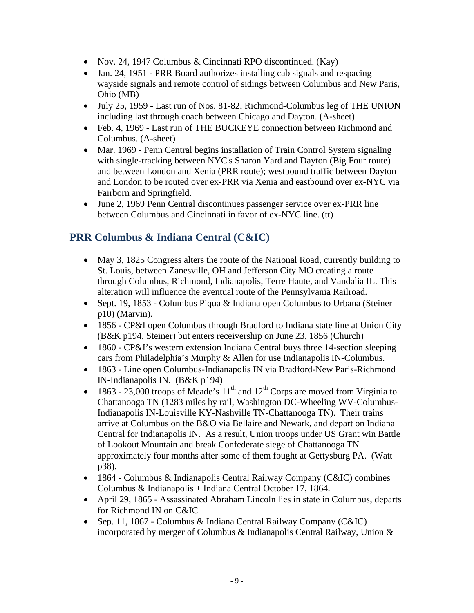- Nov. 24, 1947 Columbus & Cincinnati RPO discontinued. (Kay)
- Jan. 24, 1951 PRR Board authorizes installing cab signals and respacing wayside signals and remote control of sidings between Columbus and New Paris, Ohio (MB)
- July 25, 1959 Last run of Nos. 81-82, Richmond-Columbus leg of THE UNION including last through coach between Chicago and Dayton. (A-sheet)
- Feb. 4, 1969 Last run of THE BUCKEYE connection between Richmond and Columbus. (A-sheet)
- Mar. 1969 Penn Central begins installation of Train Control System signaling with single-tracking between NYC's Sharon Yard and Dayton (Big Four route) and between London and Xenia (PRR route); westbound traffic between Dayton and London to be routed over ex-PRR via Xenia and eastbound over ex-NYC via Fairborn and Springfield.
- June 2, 1969 Penn Central discontinues passenger service over ex-PRR line between Columbus and Cincinnati in favor of ex-NYC line. (tt)

# **PRR Columbus & Indiana Central (C&IC)**

- May 3, 1825 Congress alters the route of the National Road, currently building to St. Louis, between Zanesville, OH and Jefferson City MO creating a route through Columbus, Richmond, Indianapolis, Terre Haute, and Vandalia IL. This alteration will influence the eventual route of the Pennsylvania Railroad.
- Sept. 19, 1853 Columbus Piqua & Indiana open Columbus to Urbana (Steiner) p10) (Marvin).
- 1856 CP&I open Columbus through Bradford to Indiana state line at Union City (B&K p194, Steiner) but enters receivership on June 23, 1856 (Church)
- 1860 CP&I's western extension Indiana Central buys three 14-section sleeping cars from Philadelphia's Murphy & Allen for use Indianapolis IN-Columbus.
- 1863 Line open Columbus-Indianapolis IN via Bradford-New Paris-Richmond IN-Indianapolis IN. (B&K p194)
- 1863 23,000 troops of Meade's  $11<sup>th</sup>$  and  $12<sup>th</sup>$  Corps are moved from Virginia to Chattanooga TN (1283 miles by rail, Washington DC-Wheeling WV-Columbus-Indianapolis IN-Louisville KY-Nashville TN-Chattanooga TN). Their trains arrive at Columbus on the B&O via Bellaire and Newark, and depart on Indiana Central for Indianapolis IN. As a result, Union troops under US Grant win Battle of Lookout Mountain and break Confederate siege of Chattanooga TN approximately four months after some of them fought at Gettysburg PA. (Watt p38).
- 1864 Columbus & Indianapolis Central Railway Company (C&IC) combines Columbus & Indianapolis + Indiana Central October 17, 1864.
- April 29, 1865 Assassinated Abraham Lincoln lies in state in Columbus, departs for Richmond IN on C&IC
- Sep. 11, 1867 Columbus & Indiana Central Railway Company (C&IC) incorporated by merger of Columbus & Indianapolis Central Railway, Union &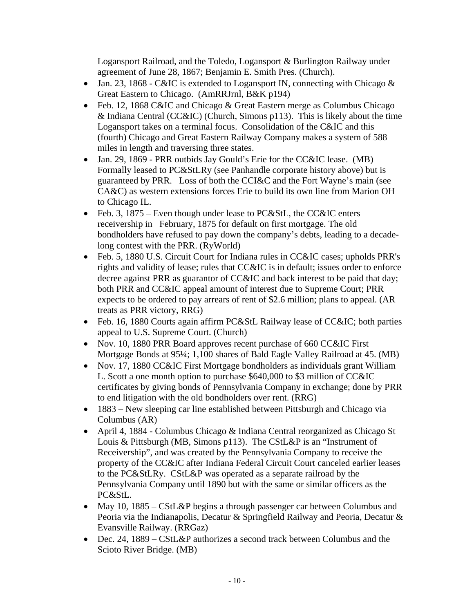Logansport Railroad, and the Toledo, Logansport & Burlington Railway under agreement of June 28, 1867; Benjamin E. Smith Pres. (Church).

- Jan. 23, 1868 C&IC is extended to Logansport IN, connecting with Chicago  $\&$ Great Eastern to Chicago. (AmRRJrnl, B&K p194)
- Feb. 12, 1868 C&IC and Chicago & Great Eastern merge as Columbus Chicago & Indiana Central (CC&IC) (Church, Simons p113). This is likely about the time Logansport takes on a terminal focus. Consolidation of the C&IC and this (fourth) Chicago and Great Eastern Railway Company makes a system of 588 miles in length and traversing three states.
- Jan. 29, 1869 PRR outbids Jay Gould's Erie for the CC&IC lease. (MB) Formally leased to PC&StLRy (see Panhandle corporate history above) but is guaranteed by PRR. Loss of both the CCI&C and the Fort Wayne's main (see CA&C) as western extensions forces Erie to build its own line from Marion OH to Chicago IL.
- Feb. 3, 1875 Even though under lease to PC&StL, the CC&IC enters receivership in February, 1875 for default on first mortgage. The old bondholders have refused to pay down the company's debts, leading to a decadelong contest with the PRR. (RyWorld)
- Feb. 5, 1880 U.S. Circuit Court for Indiana rules in CC&IC cases; upholds PRR's rights and validity of lease; rules that CC&IC is in default; issues order to enforce decree against PRR as guarantor of CC&IC and back interest to be paid that day; both PRR and CC&IC appeal amount of interest due to Supreme Court; PRR expects to be ordered to pay arrears of rent of \$2.6 million; plans to appeal. (AR treats as PRR victory, RRG)
- Feb. 16, 1880 Courts again affirm PC&StL Railway lease of  $CC&IC$ ; both parties appeal to U.S. Supreme Court. (Church)
- Nov. 10, 1880 PRR Board approves recent purchase of 660 CC&IC First Mortgage Bonds at 95¼; 1,100 shares of Bald Eagle Valley Railroad at 45. (MB)
- Nov. 17, 1880 CC&IC First Mortgage bondholders as individuals grant William L. Scott a one month option to purchase \$640,000 to \$3 million of CC&IC certificates by giving bonds of Pennsylvania Company in exchange; done by PRR to end litigation with the old bondholders over rent. (RRG)
- 1883 New sleeping car line established between Pittsburgh and Chicago via Columbus (AR)
- April 4, 1884 Columbus Chicago & Indiana Central reorganized as Chicago St Louis & Pittsburgh (MB, Simons p113). The CStL&P is an "Instrument of Receivership", and was created by the Pennsylvania Company to receive the property of the CC&IC after Indiana Federal Circuit Court canceled earlier leases to the PC&StLRy. CStL&P was operated as a separate railroad by the Pennsylvania Company until 1890 but with the same or similar officers as the PC&StL.
- May 10, 1885 CStL&P begins a through passenger car between Columbus and Peoria via the Indianapolis, Decatur & Springfield Railway and Peoria, Decatur & Evansville Railway. (RRGaz)
- Dec. 24, 1889 CStL&P authorizes a second track between Columbus and the Scioto River Bridge. (MB)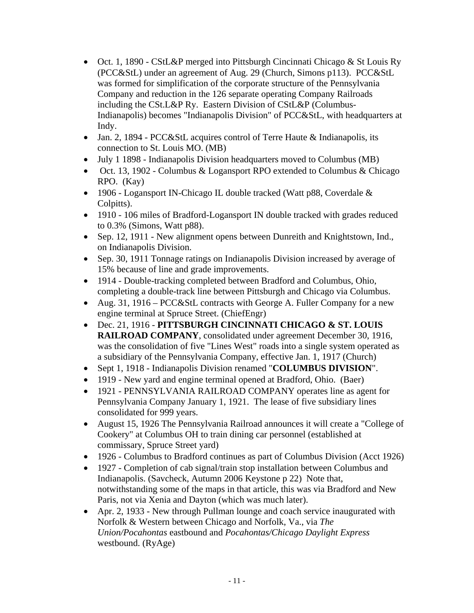- Oct. 1, 1890 CStL&P merged into Pittsburgh Cincinnati Chicago & St Louis Ry (PCC&StL) under an agreement of Aug. 29 (Church, Simons p113). PCC&StL was formed for simplification of the corporate structure of the Pennsylvania Company and reduction in the 126 separate operating Company Railroads including the CSt.L&P Ry. Eastern Division of CStL&P (Columbus-Indianapolis) becomes "Indianapolis Division" of PCC&StL, with headquarters at Indy.
- Jan. 2, 1894 PCC&StL acquires control of Terre Haute & Indianapolis, its connection to St. Louis MO. (MB)
- July 1 1898 Indianapolis Division headquarters moved to Columbus (MB)
- Oct. 13, 1902 Columbus & Logansport RPO extended to Columbus & Chicago RPO. (Kay)
- 1906 Logansport IN-Chicago IL double tracked (Watt p88, Coverdale & Colpitts).
- 1910 106 miles of Bradford-Logansport IN double tracked with grades reduced to 0.3% (Simons, Watt p88).
- Sep. 12, 1911 New alignment opens between Dunreith and Knightstown, Ind., on Indianapolis Division.
- Sep. 30, 1911 Tonnage ratings on Indianapolis Division increased by average of 15% because of line and grade improvements.
- 1914 Double-tracking completed between Bradford and Columbus, Ohio, completing a double-track line between Pittsburgh and Chicago via Columbus.
- Aug. 31, 1916 PCC&StL contracts with George A. Fuller Company for a new engine terminal at Spruce Street. (ChiefEngr)
- Dec. 21, 1916 **PITTSBURGH CINCINNATI CHICAGO & ST. LOUIS RAILROAD COMPANY**, consolidated under agreement December 30, 1916, was the consolidation of five "Lines West" roads into a single system operated as a subsidiary of the Pennsylvania Company, effective Jan. 1, 1917 (Church)
- Sept 1, 1918 Indianapolis Division renamed "**COLUMBUS DIVISION**".
- 1919 New yard and engine terminal opened at Bradford, Ohio. (Baer)
- 1921 PENNSYLVANIA RAILROAD COMPANY operates line as agent for Pennsylvania Company January 1, 1921. The lease of five subsidiary lines consolidated for 999 years.
- August 15, 1926 The Pennsylvania Railroad announces it will create a "College of Cookery" at Columbus OH to train dining car personnel (established at commissary, Spruce Street yard)
- 1926 Columbus to Bradford continues as part of Columbus Division (Acct 1926)
- 1927 Completion of cab signal/train stop installation between Columbus and Indianapolis. (Savcheck, Autumn 2006 Keystone p 22) Note that, notwithstanding some of the maps in that article, this was via Bradford and New Paris, not via Xenia and Dayton (which was much later).
- Apr. 2, 1933 New through Pullman lounge and coach service inaugurated with Norfolk & Western between Chicago and Norfolk, Va., via *The Union/Pocahontas* eastbound and *Pocahontas/Chicago Daylight Express*  westbound. (RyAge)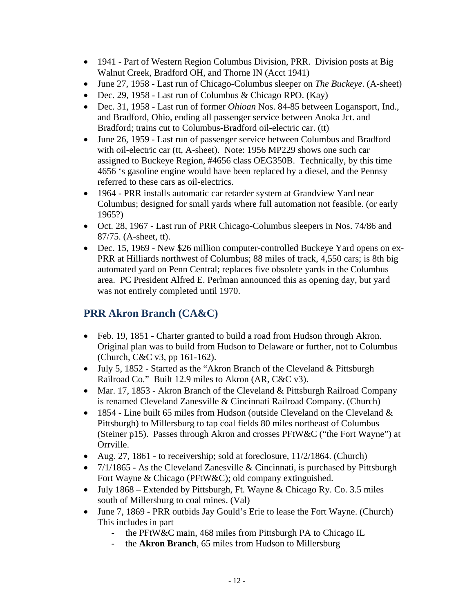- 1941 Part of Western Region Columbus Division, PRR. Division posts at Big Walnut Creek, Bradford OH, and Thorne IN (Acct 1941)
- June 27, 1958 Last run of Chicago-Columbus sleeper on *The Buckeye*. (A-sheet)
- Dec. 29, 1958 Last run of Columbus & Chicago RPO. (Kay)
- Dec. 31, 1958 Last run of former *Ohioan* Nos. 84-85 between Logansport, Ind., and Bradford, Ohio, ending all passenger service between Anoka Jct. and Bradford; trains cut to Columbus-Bradford oil-electric car. (tt)
- June 26, 1959 Last run of passenger service between Columbus and Bradford with oil-electric car (tt, A-sheet). Note: 1956 MP229 shows one such car assigned to Buckeye Region, #4656 class OEG350B. Technically, by this time 4656 's gasoline engine would have been replaced by a diesel, and the Pennsy referred to these cars as oil-electrics.
- 1964 PRR installs automatic car retarder system at Grandview Yard near Columbus; designed for small yards where full automation not feasible. (or early 1965?)
- Oct. 28, 1967 Last run of PRR Chicago-Columbus sleepers in Nos. 74/86 and 87/75. (A-sheet, tt).
- Dec. 15, 1969 New \$26 million computer-controlled Buckeye Yard opens on ex-PRR at Hilliards northwest of Columbus; 88 miles of track, 4,550 cars; is 8th big automated yard on Penn Central; replaces five obsolete yards in the Columbus area. PC President Alfred E. Perlman announced this as opening day, but yard was not entirely completed until 1970.

# **PRR Akron Branch (CA&C)**

- Feb. 19, 1851 Charter granted to build a road from Hudson through Akron. Original plan was to build from Hudson to Delaware or further, not to Columbus (Church, C&C v3, pp 161-162).
- July 5, 1852 Started as the "Akron Branch of the Cleveland & Pittsburgh" Railroad Co." Built 12.9 miles to Akron (AR, C&C v3).
- Mar. 17, 1853 Akron Branch of the Cleveland & Pittsburgh Railroad Company is renamed Cleveland Zanesville & Cincinnati Railroad Company. (Church)
- $\bullet$  1854 Line built 65 miles from Hudson (outside Cleveland on the Cleveland & Pittsburgh) to Millersburg to tap coal fields 80 miles northeast of Columbus (Steiner p15). Passes through Akron and crosses PFtW&C ("the Fort Wayne") at Orrville.
- Aug. 27, 1861 to receivership; sold at foreclosure,  $11/2/1864$ . (Church)
- $7/1/1865$  As the Cleveland Zanesville & Cincinnati, is purchased by Pittsburgh Fort Wayne & Chicago (PFtW&C); old company extinguished.
- July  $1868$  Extended by Pittsburgh, Ft. Wayne & Chicago Ry. Co. 3.5 miles south of Millersburg to coal mines. (Val)
- June 7, 1869 PRR outbids Jay Gould's Erie to lease the Fort Wayne. (Church) This includes in part
	- the PFtW&C main, 468 miles from Pittsburgh PA to Chicago IL
	- the **Akron Branch**, 65 miles from Hudson to Millersburg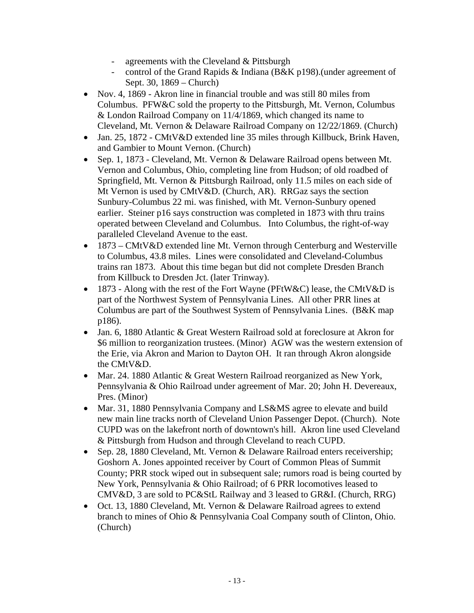- agreements with the Cleveland & Pittsburgh
- control of the Grand Rapids & Indiana (B&K p198). (under agreement of Sept. 30, 1869 – Church)
- Nov. 4, 1869 Akron line in financial trouble and was still 80 miles from Columbus. PFW&C sold the property to the Pittsburgh, Mt. Vernon, Columbus & London Railroad Company on 11/4/1869, which changed its name to Cleveland, Mt. Vernon & Delaware Railroad Company on 12/22/1869. (Church)
- Jan. 25, 1872 CMtV&D extended line 35 miles through Killbuck, Brink Haven, and Gambier to Mount Vernon. (Church)
- Sep. 1, 1873 Cleveland, Mt. Vernon & Delaware Railroad opens between Mt. Vernon and Columbus, Ohio, completing line from Hudson; of old roadbed of Springfield, Mt. Vernon & Pittsburgh Railroad, only 11.5 miles on each side of Mt Vernon is used by CMtV&D. (Church, AR). RRGaz says the section Sunbury-Columbus 22 mi. was finished, with Mt. Vernon-Sunbury opened earlier. Steiner p16 says construction was completed in 1873 with thru trains operated between Cleveland and Columbus. Into Columbus, the right-of-way paralleled Cleveland Avenue to the east.
- 1873 CMtV&D extended line Mt. Vernon through Centerburg and Westerville to Columbus, 43.8 miles. Lines were consolidated and Cleveland-Columbus trains ran 1873. About this time began but did not complete Dresden Branch from Killbuck to Dresden Jct. (later Trinway).
- $\bullet$  1873 Along with the rest of the Fort Wayne (PFtW&C) lease, the CMtV&D is part of the Northwest System of Pennsylvania Lines. All other PRR lines at Columbus are part of the Southwest System of Pennsylvania Lines. (B&K map p186).
- Jan. 6, 1880 Atlantic & Great Western Railroad sold at foreclosure at Akron for \$6 million to reorganization trustees. (Minor) AGW was the western extension of the Erie, via Akron and Marion to Dayton OH. It ran through Akron alongside the CMtV&D.
- Mar. 24. 1880 Atlantic & Great Western Railroad reorganized as New York, Pennsylvania & Ohio Railroad under agreement of Mar. 20; John H. Devereaux, Pres. (Minor)
- Mar. 31, 1880 Pennsylvania Company and LS&MS agree to elevate and build new main line tracks north of Cleveland Union Passenger Depot. (Church). Note CUPD was on the lakefront north of downtown's hill. Akron line used Cleveland & Pittsburgh from Hudson and through Cleveland to reach CUPD.
- Sep. 28, 1880 Cleveland, Mt. Vernon & Delaware Railroad enters receivership; Goshorn A. Jones appointed receiver by Court of Common Pleas of Summit County; PRR stock wiped out in subsequent sale; rumors road is being courted by New York, Pennsylvania & Ohio Railroad; of 6 PRR locomotives leased to CMV&D, 3 are sold to PC&StL Railway and 3 leased to GR&I. (Church, RRG)
- Oct. 13, 1880 Cleveland, Mt. Vernon & Delaware Railroad agrees to extend branch to mines of Ohio & Pennsylvania Coal Company south of Clinton, Ohio. (Church)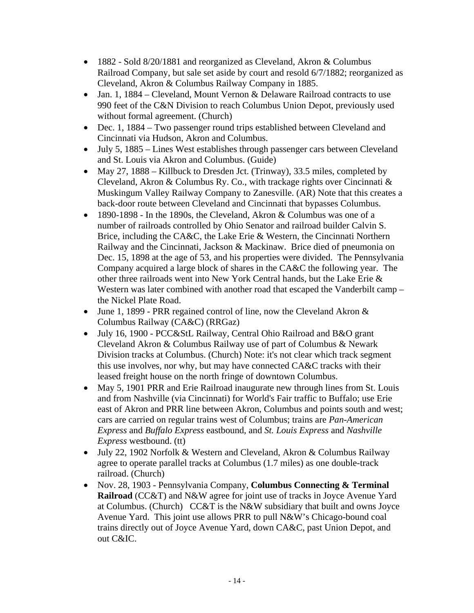- 1882 Sold 8/20/1881 and reorganized as Cleveland, Akron & Columbus Railroad Company, but sale set aside by court and resold 6/7/1882; reorganized as Cleveland, Akron & Columbus Railway Company in 1885.
- Jan. 1, 1884 Cleveland, Mount Vernon & Delaware Railroad contracts to use 990 feet of the C&N Division to reach Columbus Union Depot, previously used without formal agreement. (Church)
- Dec. 1, 1884 Two passenger round trips established between Cleveland and Cincinnati via Hudson, Akron and Columbus.
- July 5, 1885 Lines West establishes through passenger cars between Cleveland and St. Louis via Akron and Columbus. (Guide)
- May 27, 1888 Killbuck to Dresden Jct. (Trinway), 33.5 miles, completed by Cleveland, Akron & Columbus Ry. Co., with trackage rights over Cincinnati & Muskingum Valley Railway Company to Zanesville. (AR) Note that this creates a back-door route between Cleveland and Cincinnati that bypasses Columbus.
- 1890-1898 In the 1890s, the Cleveland, Akron & Columbus was one of a number of railroads controlled by Ohio Senator and railroad builder Calvin S. Brice, including the CA&C, the Lake Erie & Western, the Cincinnati Northern Railway and the Cincinnati, Jackson & Mackinaw. Brice died of pneumonia on Dec. 15, 1898 at the age of 53, and his properties were divided. The Pennsylvania Company acquired a large block of shares in the CA&C the following year. The other three railroads went into New York Central hands, but the Lake Erie & Western was later combined with another road that escaped the Vanderbilt camp – the Nickel Plate Road.
- June 1, 1899 PRR regained control of line, now the Cleveland Akron  $\&$ Columbus Railway (CA&C) (RRGaz)
- July 16, 1900 PCC&StL Railway, Central Ohio Railroad and B&O grant Cleveland Akron & Columbus Railway use of part of Columbus & Newark Division tracks at Columbus. (Church) Note: it's not clear which track segment this use involves, nor why, but may have connected CA&C tracks with their leased freight house on the north fringe of downtown Columbus.
- May 5, 1901 PRR and Erie Railroad inaugurate new through lines from St. Louis and from Nashville (via Cincinnati) for World's Fair traffic to Buffalo; use Erie east of Akron and PRR line between Akron, Columbus and points south and west; cars are carried on regular trains west of Columbus; trains are *Pan-American Express* and *Buffalo Express* eastbound, and *St. Louis Express* and *Nashville Express* westbound. (tt)
- July 22, 1902 Norfolk & Western and Cleveland, Akron & Columbus Railway agree to operate parallel tracks at Columbus (1.7 miles) as one double-track railroad. (Church)
- Nov. 28, 1903 Pennsylvania Company, **Columbus Connecting & Terminal Railroad** (CC&T) and N&W agree for joint use of tracks in Joyce Avenue Yard at Columbus. (Church) CC&T is the N&W subsidiary that built and owns Joyce Avenue Yard. This joint use allows PRR to pull N&W's Chicago-bound coal trains directly out of Joyce Avenue Yard, down CA&C, past Union Depot, and out C&IC.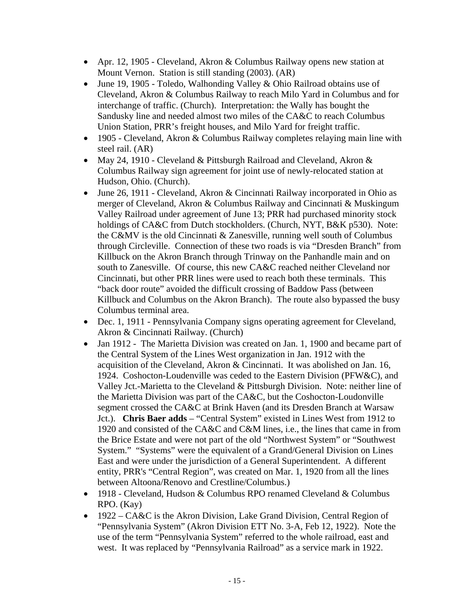- Apr. 12, 1905 Cleveland, Akron & Columbus Railway opens new station at Mount Vernon. Station is still standing (2003). (AR)
- $\bullet$  June 19, 1905 Toledo, Walhonding Valley & Ohio Railroad obtains use of Cleveland, Akron & Columbus Railway to reach Milo Yard in Columbus and for interchange of traffic. (Church). Interpretation: the Wally has bought the Sandusky line and needed almost two miles of the CA&C to reach Columbus Union Station, PRR's freight houses, and Milo Yard for freight traffic.
- 1905 Cleveland, Akron & Columbus Railway completes relaying main line with steel rail. (AR)
- May 24, 1910 Cleveland & Pittsburgh Railroad and Cleveland, Akron & Columbus Railway sign agreement for joint use of newly-relocated station at Hudson, Ohio. (Church).
- June 26, 1911 Cleveland, Akron & Cincinnati Railway incorporated in Ohio as merger of Cleveland, Akron & Columbus Railway and Cincinnati & Muskingum Valley Railroad under agreement of June 13; PRR had purchased minority stock holdings of CA&C from Dutch stockholders. (Church, NYT, B&K p530). Note: the C&MV is the old Cincinnati & Zanesville, running well south of Columbus through Circleville. Connection of these two roads is via "Dresden Branch" from Killbuck on the Akron Branch through Trinway on the Panhandle main and on south to Zanesville. Of course, this new CA&C reached neither Cleveland nor Cincinnati, but other PRR lines were used to reach both these terminals. This "back door route" avoided the difficult crossing of Baddow Pass (between Killbuck and Columbus on the Akron Branch). The route also bypassed the busy Columbus terminal area.
- Dec. 1, 1911 Pennsylvania Company signs operating agreement for Cleveland, Akron & Cincinnati Railway. (Church)
- Jan 1912 The Marietta Division was created on Jan. 1, 1900 and became part of the Central System of the Lines West organization in Jan. 1912 with the acquisition of the Cleveland, Akron & Cincinnati. It was abolished on Jan. 16, 1924. Coshocton-Loudenville was ceded to the Eastern Division (PFW&C), and Valley Jct.-Marietta to the Cleveland & Pittsburgh Division. Note: neither line of the Marietta Division was part of the CA&C, but the Coshocton-Loudonville segment crossed the CA&C at Brink Haven (and its Dresden Branch at Warsaw Jct.). **Chris Baer adds** – "Central System" existed in Lines West from 1912 to 1920 and consisted of the CA&C and C&M lines, i.e., the lines that came in from the Brice Estate and were not part of the old "Northwest System" or "Southwest System." "Systems" were the equivalent of a Grand/General Division on Lines East and were under the jurisdiction of a General Superintendent. A different entity, PRR's "Central Region", was created on Mar. 1, 1920 from all the lines between Altoona/Renovo and Crestline/Columbus.)
- 1918 Cleveland, Hudson & Columbus RPO renamed Cleveland & Columbus RPO. (Kay)
- 1922 CA&C is the Akron Division, Lake Grand Division, Central Region of "Pennsylvania System" (Akron Division ETT No. 3-A, Feb 12, 1922). Note the use of the term "Pennsylvania System" referred to the whole railroad, east and west. It was replaced by "Pennsylvania Railroad" as a service mark in 1922.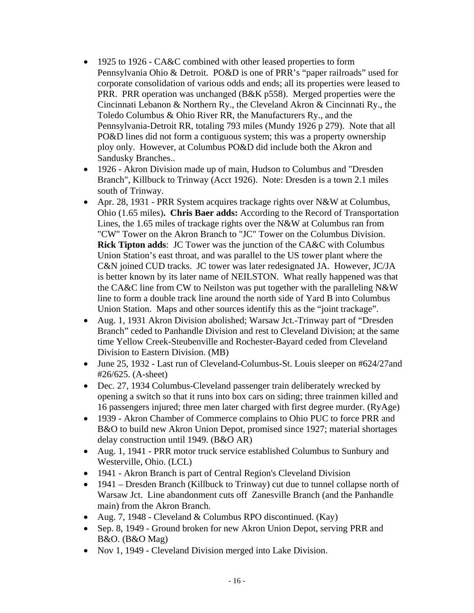- 1925 to 1926 CA&C combined with other leased properties to form Pennsylvania Ohio & Detroit. PO&D is one of PRR's "paper railroads" used for corporate consolidation of various odds and ends; all its properties were leased to PRR. PRR operation was unchanged (B&K p558). Merged properties were the Cincinnati Lebanon & Northern Ry., the Cleveland Akron & Cincinnati Ry., the Toledo Columbus & Ohio River RR, the Manufacturers Ry., and the Pennsylvania-Detroit RR, totaling 793 miles (Mundy 1926 p 279). Note that all PO&D lines did not form a contiguous system; this was a property ownership ploy only. However, at Columbus PO&D did include both the Akron and Sandusky Branches..
- 1926 Akron Division made up of main, Hudson to Columbus and "Dresden Branch", Killbuck to Trinway (Acct 1926). Note: Dresden is a town 2.1 miles south of Trinway.
- Apr. 28, 1931 PRR System acquires trackage rights over N&W at Columbus, Ohio (1.65 miles)**. Chris Baer adds:** According to the Record of Transportation Lines, the 1.65 miles of trackage rights over the N&W at Columbus ran from "CW" Tower on the Akron Branch to "JC" Tower on the Columbus Division. **Rick Tipton adds**: JC Tower was the junction of the CA&C with Columbus Union Station's east throat, and was parallel to the US tower plant where the C&N joined CUD tracks. JC tower was later redesignated JA. However, JC/JA is better known by its later name of NEILSTON. What really happened was that the CA&C line from CW to Neilston was put together with the paralleling N&W line to form a double track line around the north side of Yard B into Columbus Union Station. Maps and other sources identify this as the "joint trackage".
- Aug. 1, 1931 Akron Division abolished; Warsaw Jct.-Trinway part of "Dresden Branch" ceded to Panhandle Division and rest to Cleveland Division; at the same time Yellow Creek-Steubenville and Rochester-Bayard ceded from Cleveland Division to Eastern Division. (MB)
- June 25, 1932 Last run of Cleveland-Columbus-St. Louis sleeper on #624/27and #26/625. (A-sheet)
- Dec. 27, 1934 Columbus-Cleveland passenger train deliberately wrecked by opening a switch so that it runs into box cars on siding; three trainmen killed and 16 passengers injured; three men later charged with first degree murder. (RyAge)
- 1939 Akron Chamber of Commerce complains to Ohio PUC to force PRR and B&O to build new Akron Union Depot, promised since 1927; material shortages delay construction until 1949. (B&O AR)
- Aug. 1, 1941 PRR motor truck service established Columbus to Sunbury and Westerville, Ohio. (LCL)
- 1941 Akron Branch is part of Central Region's Cleveland Division
- 1941 Dresden Branch (Killbuck to Trinway) cut due to tunnel collapse north of Warsaw Jct. Line abandonment cuts off Zanesville Branch (and the Panhandle main) from the Akron Branch.
- Aug. 7, 1948 Cleveland & Columbus RPO discontinued. (Kay)
- Sep. 8, 1949 Ground broken for new Akron Union Depot, serving PRR and B&O. (B&O Mag)
- Nov 1, 1949 Cleveland Division merged into Lake Division.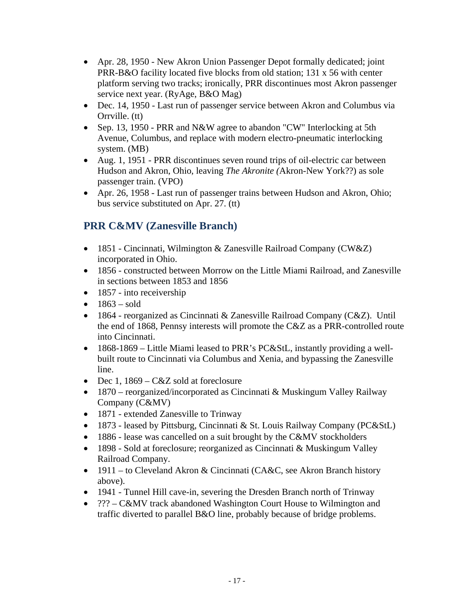- Apr. 28, 1950 New Akron Union Passenger Depot formally dedicated; joint PRR-B&O facility located five blocks from old station; 131 x 56 with center platform serving two tracks; ironically, PRR discontinues most Akron passenger service next year. (RyAge, B&O Mag)
- Dec. 14, 1950 Last run of passenger service between Akron and Columbus via Orrville. (tt)
- Sep. 13, 1950 PRR and N&W agree to abandon "CW" Interlocking at 5th Avenue, Columbus, and replace with modern electro-pneumatic interlocking system. (MB)
- Aug. 1, 1951 PRR discontinues seven round trips of oil-electric car between Hudson and Akron, Ohio, leaving *The Akronite (*Akron-New York??) as sole passenger train. (VPO)
- Apr. 26, 1958 Last run of passenger trains between Hudson and Akron, Ohio; bus service substituted on Apr. 27. (tt)

# **PRR C&MV (Zanesville Branch)**

- 1851 Cincinnati, Wilmington & Zanesville Railroad Company (CW&Z) incorporated in Ohio.
- 1856 constructed between Morrow on the Little Miami Railroad, and Zanesville in sections between 1853 and 1856
- $\bullet$  1857 into receivership
- $1863 \text{ sold}$
- 1864 reorganized as Cincinnati & Zanesville Railroad Company (C&Z). Until the end of 1868, Pennsy interests will promote the C&Z as a PRR-controlled route into Cincinnati.
- 1868-1869 Little Miami leased to PRR's PC&StL, instantly providing a wellbuilt route to Cincinnati via Columbus and Xenia, and bypassing the Zanesville line.
- Dec 1,  $1869 C&Z$  sold at foreclosure
- 1870 reorganized/incorporated as Cincinnati & Muskingum Valley Railway Company (C&MV)
- 1871 extended Zanesville to Trinway
- 1873 leased by Pittsburg, Cincinnati & St. Louis Railway Company (PC&StL)
- 1886 lease was cancelled on a suit brought by the C&MV stockholders
- 1898 Sold at foreclosure; reorganized as Cincinnati & Muskingum Valley Railroad Company.
- 1911 to Cleveland Akron & Cincinnati (CA&C, see Akron Branch history above).
- 1941 Tunnel Hill cave-in, severing the Dresden Branch north of Trinway
- ??? C&MV track abandoned Washington Court House to Wilmington and traffic diverted to parallel B&O line, probably because of bridge problems.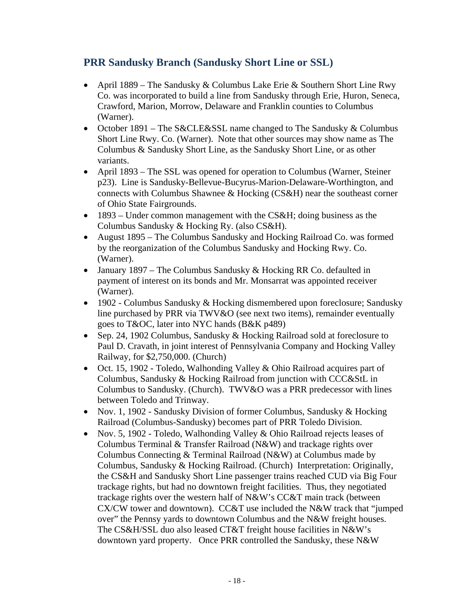#### **PRR Sandusky Branch (Sandusky Short Line or SSL)**

- April 1889 The Sandusky & Columbus Lake Erie & Southern Short Line Rwy Co. was incorporated to build a line from Sandusky through Erie, Huron, Seneca, Crawford, Marion, Morrow, Delaware and Franklin counties to Columbus (Warner).
- October 1891 The S&CLE&SSL name changed to The Sandusky & Columbus Short Line Rwy. Co. (Warner). Note that other sources may show name as The Columbus & Sandusky Short Line, as the Sandusky Short Line, or as other variants.
- April 1893 The SSL was opened for operation to Columbus (Warner, Steiner p23). Line is Sandusky-Bellevue-Bucyrus-Marion-Delaware-Worthington, and connects with Columbus Shawnee & Hocking (CS&H) near the southeast corner of Ohio State Fairgrounds.
- 1893 Under common management with the CS&H; doing business as the Columbus Sandusky & Hocking Ry. (also CS&H).
- August 1895 The Columbus Sandusky and Hocking Railroad Co. was formed by the reorganization of the Columbus Sandusky and Hocking Rwy. Co. (Warner).
- January 1897 The Columbus Sandusky & Hocking RR Co. defaulted in payment of interest on its bonds and Mr. Monsarrat was appointed receiver (Warner).
- 1902 Columbus Sandusky & Hocking dismembered upon foreclosure; Sandusky line purchased by PRR via TWV&O (see next two items), remainder eventually goes to T&OC, later into NYC hands (B&K p489)
- Sep. 24, 1902 Columbus, Sandusky & Hocking Railroad sold at foreclosure to Paul D. Cravath, in joint interest of Pennsylvania Company and Hocking Valley Railway, for \$2,750,000. (Church)
- Oct. 15, 1902 Toledo, Walhonding Valley & Ohio Railroad acquires part of Columbus, Sandusky & Hocking Railroad from junction with CCC&StL in Columbus to Sandusky. (Church). TWV&O was a PRR predecessor with lines between Toledo and Trinway.
- Nov. 1, 1902 Sandusky Division of former Columbus, Sandusky & Hocking Railroad (Columbus-Sandusky) becomes part of PRR Toledo Division.
- Nov. 5, 1902 Toledo, Walhonding Valley & Ohio Railroad rejects leases of Columbus Terminal & Transfer Railroad (N&W) and trackage rights over Columbus Connecting & Terminal Railroad (N&W) at Columbus made by Columbus, Sandusky & Hocking Railroad. (Church) Interpretation: Originally, the CS&H and Sandusky Short Line passenger trains reached CUD via Big Four trackage rights, but had no downtown freight facilities. Thus, they negotiated trackage rights over the western half of N&W's CC&T main track (between CX/CW tower and downtown). CC&T use included the N&W track that "jumped over" the Pennsy yards to downtown Columbus and the N&W freight houses. The CS&H/SSL duo also leased CT&T freight house facilities in N&W's downtown yard property. Once PRR controlled the Sandusky, these N&W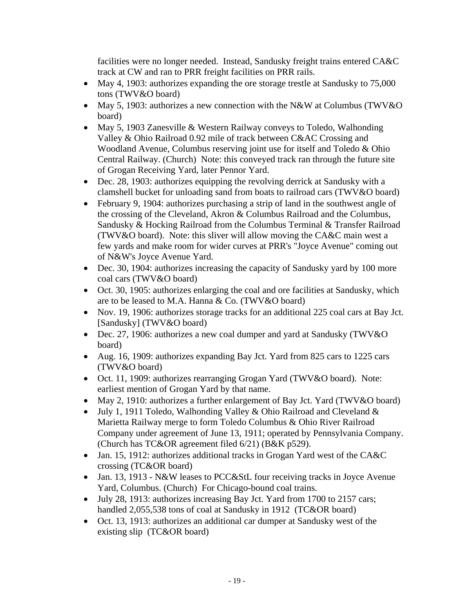facilities were no longer needed. Instead, Sandusky freight trains entered CA&C track at CW and ran to PRR freight facilities on PRR rails.

- May 4, 1903: authorizes expanding the ore storage trestle at Sandusky to 75,000 tons (TWV&O board)
- May 5, 1903: authorizes a new connection with the N&W at Columbus (TWV&O) board)
- May 5, 1903 Zanesville & Western Railway conveys to Toledo, Walhonding Valley & Ohio Railroad 0.92 mile of track between C&AC Crossing and Woodland Avenue, Columbus reserving joint use for itself and Toledo & Ohio Central Railway. (Church) Note: this conveyed track ran through the future site of Grogan Receiving Yard, later Pennor Yard.
- Dec. 28, 1903: authorizes equipping the revolving derrick at Sandusky with a clamshell bucket for unloading sand from boats to railroad cars (TWV&O board)
- February 9, 1904: authorizes purchasing a strip of land in the southwest angle of the crossing of the Cleveland, Akron & Columbus Railroad and the Columbus, Sandusky & Hocking Railroad from the Columbus Terminal & Transfer Railroad (TWV&O board). Note: this sliver will allow moving the CA&C main west a few yards and make room for wider curves at PRR's "Joyce Avenue" coming out of N&W's Joyce Avenue Yard.
- Dec. 30, 1904: authorizes increasing the capacity of Sandusky yard by 100 more coal cars (TWV&O board)
- Oct. 30, 1905: authorizes enlarging the coal and ore facilities at Sandusky, which are to be leased to M.A. Hanna & Co. (TWV&O board)
- Nov. 19, 1906: authorizes storage tracks for an additional 225 coal cars at Bay Jct. [Sandusky] (TWV&O board)
- Dec. 27, 1906: authorizes a new coal dumper and yard at Sandusky (TWV&O board)
- Aug. 16, 1909: authorizes expanding Bay Jct. Yard from 825 cars to 1225 cars (TWV&O board)
- Oct. 11, 1909: authorizes rearranging Grogan Yard (TWV&O board). Note: earliest mention of Grogan Yard by that name.
- May 2, 1910: authorizes a further enlargement of Bay Jct. Yard (TWV&O board)
- July 1, 1911 Toledo, Walhonding Valley & Ohio Railroad and Cleveland  $\&$ Marietta Railway merge to form Toledo Columbus & Ohio River Railroad Company under agreement of June 13, 1911; operated by Pennsylvania Company. (Church has TC&OR agreement filed 6/21) (B&K p529).
- Jan. 15, 1912: authorizes additional tracks in Grogan Yard west of the CA&C crossing (TC&OR board)
- Jan. 13, 1913 N&W leases to PCC&StL four receiving tracks in Joyce Avenue Yard, Columbus. (Church) For Chicago-bound coal trains.
- July 28, 1913: authorizes increasing Bay Jct. Yard from 1700 to 2157 cars; handled 2,055,538 tons of coal at Sandusky in 1912 (TC&OR board)
- Oct. 13, 1913: authorizes an additional car dumper at Sandusky west of the existing slip (TC&OR board)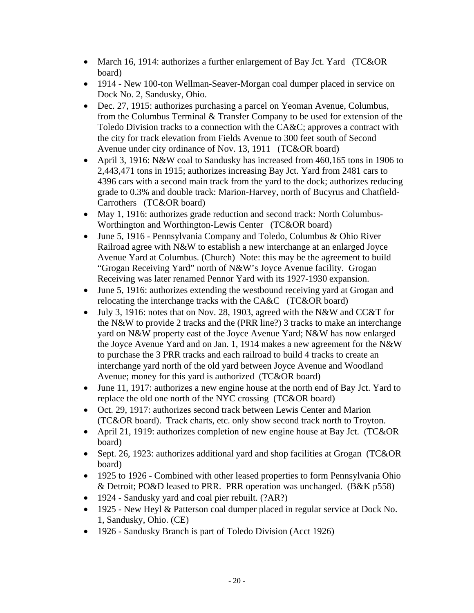- March 16, 1914: authorizes a further enlargement of Bay Jct. Yard (TC&OR) board)
- 1914 New 100-ton Wellman-Seaver-Morgan coal dumper placed in service on Dock No. 2, Sandusky, Ohio.
- Dec. 27, 1915: authorizes purchasing a parcel on Yeoman Avenue, Columbus, from the Columbus Terminal & Transfer Company to be used for extension of the Toledo Division tracks to a connection with the CA&C; approves a contract with the city for track elevation from Fields Avenue to 300 feet south of Second Avenue under city ordinance of Nov. 13, 1911 (TC&OR board)
- April 3, 1916: N&W coal to Sandusky has increased from 460,165 tons in 1906 to 2,443,471 tons in 1915; authorizes increasing Bay Jct. Yard from 2481 cars to 4396 cars with a second main track from the yard to the dock; authorizes reducing grade to 0.3% and double track: Marion-Harvey, north of Bucyrus and Chatfield-Carrothers (TC&OR board)
- May 1, 1916: authorizes grade reduction and second track: North Columbus-Worthington and Worthington-Lewis Center (TC&OR board)
- June 5, 1916 Pennsylvania Company and Toledo, Columbus & Ohio River Railroad agree with N&W to establish a new interchange at an enlarged Joyce Avenue Yard at Columbus. (Church) Note: this may be the agreement to build "Grogan Receiving Yard" north of N&W's Joyce Avenue facility. Grogan Receiving was later renamed Pennor Yard with its 1927-1930 expansion.
- June 5, 1916: authorizes extending the westbound receiving yard at Grogan and relocating the interchange tracks with the CA&C (TC&OR board)
- July 3, 1916: notes that on Nov. 28, 1903, agreed with the N&W and  $CC&T$  for the N&W to provide 2 tracks and the (PRR line?) 3 tracks to make an interchange yard on N&W property east of the Joyce Avenue Yard; N&W has now enlarged the Joyce Avenue Yard and on Jan. 1, 1914 makes a new agreement for the N&W to purchase the 3 PRR tracks and each railroad to build 4 tracks to create an interchange yard north of the old yard between Joyce Avenue and Woodland Avenue; money for this yard is authorized (TC&OR board)
- June 11, 1917: authorizes a new engine house at the north end of Bay Jct. Yard to replace the old one north of the NYC crossing (TC&OR board)
- Oct. 29, 1917: authorizes second track between Lewis Center and Marion (TC&OR board). Track charts, etc. only show second track north to Troyton.
- April 21, 1919: authorizes completion of new engine house at Bay Jct. (TC&OR board)
- Sept. 26, 1923: authorizes additional yard and shop facilities at Grogan (TC&OR board)
- 1925 to 1926 Combined with other leased properties to form Pennsylvania Ohio & Detroit; PO&D leased to PRR. PRR operation was unchanged. (B&K p558)
- 1924 Sandusky yard and coal pier rebuilt. (?AR?)
- 1925 New Heyl & Patterson coal dumper placed in regular service at Dock No. 1, Sandusky, Ohio. (CE)
- 1926 Sandusky Branch is part of Toledo Division (Acct 1926)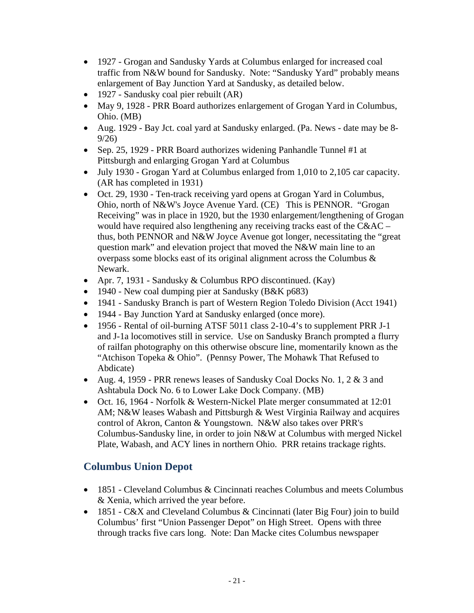- 1927 Grogan and Sandusky Yards at Columbus enlarged for increased coal traffic from N&W bound for Sandusky. Note: "Sandusky Yard" probably means enlargement of Bay Junction Yard at Sandusky, as detailed below.
- 1927 Sandusky coal pier rebuilt (AR)
- May 9, 1928 PRR Board authorizes enlargement of Grogan Yard in Columbus, Ohio. (MB)
- Aug. 1929 Bay Jct. coal yard at Sandusky enlarged. (Pa. News date may be 8- 9/26)
- Sep. 25, 1929 PRR Board authorizes widening Panhandle Tunnel #1 at Pittsburgh and enlarging Grogan Yard at Columbus
- July 1930 Grogan Yard at Columbus enlarged from 1,010 to 2,105 car capacity. (AR has completed in 1931)
- Oct. 29, 1930 Ten-track receiving yard opens at Grogan Yard in Columbus, Ohio, north of N&W's Joyce Avenue Yard. (CE) This is PENNOR. "Grogan Receiving" was in place in 1920, but the 1930 enlargement/lengthening of Grogan would have required also lengthening any receiving tracks east of the C&AC – thus, both PENNOR and N&W Joyce Avenue got longer, necessitating the "great question mark" and elevation project that moved the N&W main line to an overpass some blocks east of its original alignment across the Columbus & Newark.
- Apr. 7, 1931 Sandusky & Columbus RPO discontinued. (Kay)
- 1940 New coal dumping pier at Sandusky (B&K p683)
- 1941 Sandusky Branch is part of Western Region Toledo Division (Acct 1941)
- 1944 Bay Junction Yard at Sandusky enlarged (once more).
- 1956 Rental of oil-burning ATSF 5011 class 2-10-4's to supplement PRR J-1 and J-1a locomotives still in service. Use on Sandusky Branch prompted a flurry of railfan photography on this otherwise obscure line, momentarily known as the "Atchison Topeka & Ohio". (Pennsy Power, The Mohawk That Refused to Abdicate)
- Aug. 4, 1959 PRR renews leases of Sandusky Coal Docks No. 1, 2  $\&$  3 and Ashtabula Dock No. 6 to Lower Lake Dock Company. (MB)
- Oct. 16, 1964 Norfolk & Western-Nickel Plate merger consummated at 12:01 AM; N&W leases Wabash and Pittsburgh & West Virginia Railway and acquires control of Akron, Canton & Youngstown. N&W also takes over PRR's Columbus-Sandusky line, in order to join N&W at Columbus with merged Nickel Plate, Wabash, and ACY lines in northern Ohio. PRR retains trackage rights.

## **Columbus Union Depot**

- 1851 Cleveland Columbus & Cincinnati reaches Columbus and meets Columbus & Xenia, which arrived the year before.
- 1851 C&X and Cleveland Columbus & Cincinnati (later Big Four) join to build Columbus' first "Union Passenger Depot" on High Street. Opens with three through tracks five cars long. Note: Dan Macke cites Columbus newspaper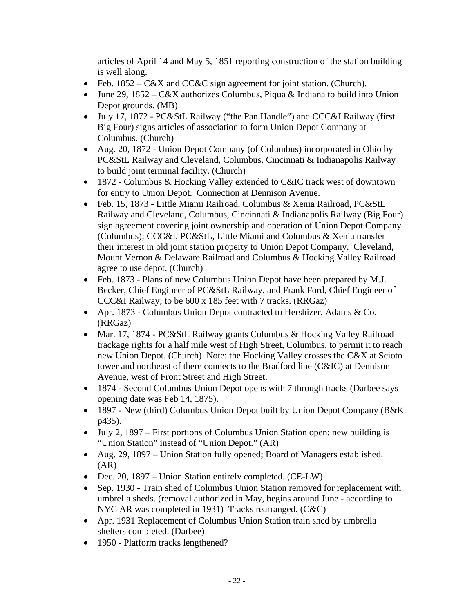articles of April 14 and May 5, 1851 reporting construction of the station building is well along.

- Feb. 1852 C&X and CC&C sign agreement for joint station. (Church).
- June 29, 1852 C&X authorizes Columbus, Piqua & Indiana to build into Union Depot grounds. (MB)
- July 17, 1872 PC&StL Railway ("the Pan Handle") and CCC&I Railway (first Big Four) signs articles of association to form Union Depot Company at Columbus. (Church)
- Aug. 20, 1872 Union Depot Company (of Columbus) incorporated in Ohio by PC&StL Railway and Cleveland, Columbus, Cincinnati & Indianapolis Railway to build joint terminal facility. (Church)
- 1872 Columbus & Hocking Valley extended to C&IC track west of downtown for entry to Union Depot. Connection at Dennison Avenue.
- Feb. 15, 1873 Little Miami Railroad, Columbus & Xenia Railroad, PC&StL Railway and Cleveland, Columbus, Cincinnati & Indianapolis Railway (Big Four) sign agreement covering joint ownership and operation of Union Depot Company (Columbus); CCC&I, PC&StL, Little Miami and Columbus & Xenia transfer their interest in old joint station property to Union Depot Company. Cleveland, Mount Vernon & Delaware Railroad and Columbus & Hocking Valley Railroad agree to use depot. (Church)
- Feb. 1873 Plans of new Columbus Union Depot have been prepared by M.J. Becker, Chief Engineer of PC&StL Railway, and Frank Ford, Chief Engineer of CCC&I Railway; to be 600 x 185 feet with 7 tracks. (RRGaz)
- Apr. 1873 Columbus Union Depot contracted to Hershizer, Adams & Co. (RRGaz)
- Mar. 17, 1874 PC&StL Railway grants Columbus & Hocking Valley Railroad trackage rights for a half mile west of High Street, Columbus, to permit it to reach new Union Depot. (Church) Note: the Hocking Valley crosses the C&X at Scioto tower and northeast of there connects to the Bradford line (C&IC) at Dennison Avenue, west of Front Street and High Street.
- 1874 Second Columbus Union Depot opens with 7 through tracks (Darbee says opening date was Feb 14, 1875).
- 1897 New (third) Columbus Union Depot built by Union Depot Company (B&K) p435).
- July 2, 1897 First portions of Columbus Union Station open; new building is "Union Station" instead of "Union Depot." (AR)
- Aug. 29, 1897 Union Station fully opened; Board of Managers established.  $(AR)$
- Dec. 20, 1897 Union Station entirely completed. (CE-LW)
- Sep. 1930 Train shed of Columbus Union Station removed for replacement with umbrella sheds. (removal authorized in May, begins around June - according to NYC AR was completed in 1931) Tracks rearranged. (C&C)
- Apr. 1931 Replacement of Columbus Union Station train shed by umbrella shelters completed. (Darbee)
- 1950 Platform tracks lengthened?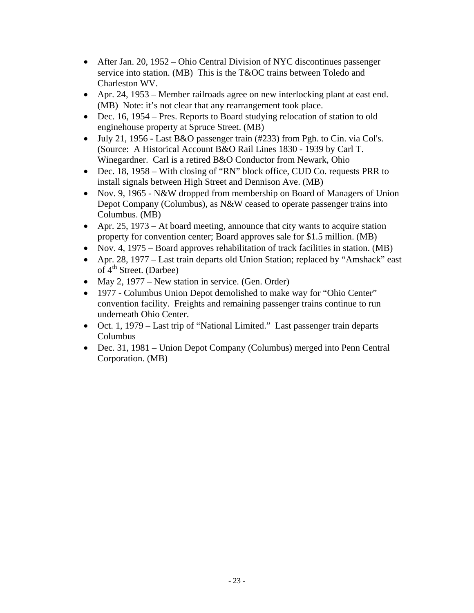- After Jan. 20, 1952 Ohio Central Division of NYC discontinues passenger service into station. (MB) This is the T&OC trains between Toledo and Charleston WV.
- Apr. 24, 1953 Member railroads agree on new interlocking plant at east end. (MB) Note: it's not clear that any rearrangement took place.
- Dec. 16, 1954 Pres. Reports to Board studying relocation of station to old enginehouse property at Spruce Street. (MB)
- July 21, 1956 Last B&O passenger train (#233) from Pgh. to Cin. via Col's. (Source: A Historical Account B&O Rail Lines 1830 - 1939 by Carl T. Winegardner. Carl is a retired B&O Conductor from Newark, Ohio
- Dec. 18, 1958 With closing of "RN" block office, CUD Co. requests PRR to install signals between High Street and Dennison Ave. (MB)
- Nov. 9, 1965 N&W dropped from membership on Board of Managers of Union Depot Company (Columbus), as N&W ceased to operate passenger trains into Columbus. (MB)
- Apr. 25, 1973 At board meeting, announce that city wants to acquire station property for convention center; Board approves sale for \$1.5 million. (MB)
- Nov. 4, 1975 Board approves rehabilitation of track facilities in station. (MB)
- Apr. 28, 1977 Last train departs old Union Station; replaced by "Amshack" east of  $4<sup>th</sup>$  Street. (Darbee)
- May 2, 1977 New station in service. (Gen. Order)
- 1977 Columbus Union Depot demolished to make way for "Ohio Center" convention facility. Freights and remaining passenger trains continue to run underneath Ohio Center.
- Oct. 1, 1979 Last trip of "National Limited." Last passenger train departs Columbus
- Dec. 31, 1981 Union Depot Company (Columbus) merged into Penn Central Corporation. (MB)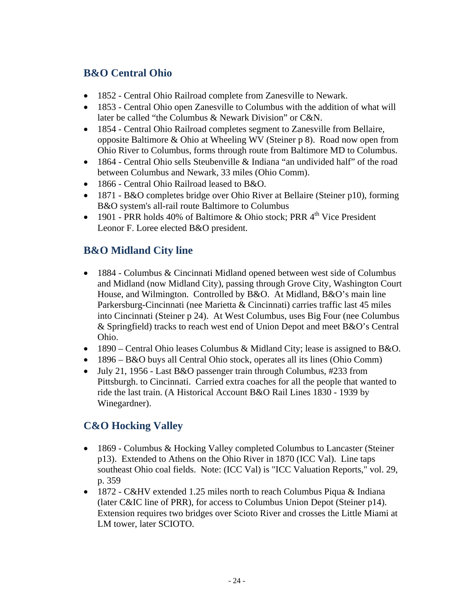# **B&O Central Ohio**

- 1852 Central Ohio Railroad complete from Zanesville to Newark.
- 1853 Central Ohio open Zanesville to Columbus with the addition of what will later be called "the Columbus & Newark Division" or C&N.
- 1854 Central Ohio Railroad completes segment to Zanesville from Bellaire, opposite Baltimore & Ohio at Wheeling WV (Steiner p 8). Road now open from Ohio River to Columbus, forms through route from Baltimore MD to Columbus.
- 1864 Central Ohio sells Steubenville & Indiana "an undivided half" of the road between Columbus and Newark, 33 miles (Ohio Comm).
- 1866 Central Ohio Railroad leased to B&O.
- 1871 B&O completes bridge over Ohio River at Bellaire (Steiner p10), forming B&O system's all-rail route Baltimore to Columbus
- 1901 PRR holds 40% of Baltimore & Ohio stock; PRR  $4^{th}$  Vice President Leonor F. Loree elected B&O president.

# **B&O Midland City line**

- 1884 Columbus & Cincinnati Midland opened between west side of Columbus and Midland (now Midland City), passing through Grove City, Washington Court House, and Wilmington. Controlled by B&O. At Midland, B&O's main line Parkersburg-Cincinnati (nee Marietta & Cincinnati) carries traffic last 45 miles into Cincinnati (Steiner p 24). At West Columbus, uses Big Four (nee Columbus & Springfield) tracks to reach west end of Union Depot and meet B&O's Central Ohio.
- 1890 Central Ohio leases Columbus & Midland City; lease is assigned to B&O.
- 1896 B&O buys all Central Ohio stock, operates all its lines (Ohio Comm)
- July 21, 1956 Last B&O passenger train through Columbus, #233 from Pittsburgh. to Cincinnati. Carried extra coaches for all the people that wanted to ride the last train. (A Historical Account B&O Rail Lines 1830 - 1939 by Winegardner).

## **C&O Hocking Valley**

- 1869 Columbus & Hocking Valley completed Columbus to Lancaster (Steiner) p13). Extended to Athens on the Ohio River in 1870 (ICC Val). Line taps southeast Ohio coal fields. Note: (ICC Val) is "ICC Valuation Reports," vol. 29, p. 359
- 1872 C&HV extended 1.25 miles north to reach Columbus Piqua & Indiana (later C&IC line of PRR), for access to Columbus Union Depot (Steiner p14). Extension requires two bridges over Scioto River and crosses the Little Miami at LM tower, later SCIOTO.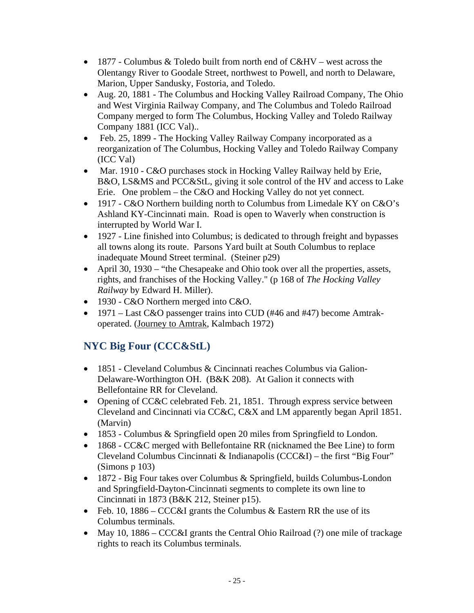- $\bullet$  1877 Columbus & Toledo built from north end of C&HV west across the Olentangy River to Goodale Street, northwest to Powell, and north to Delaware, Marion, Upper Sandusky, Fostoria, and Toledo.
- Aug. 20, 1881 The Columbus and Hocking Valley Railroad Company, The Ohio and West Virginia Railway Company, and The Columbus and Toledo Railroad Company merged to form The Columbus, Hocking Valley and Toledo Railway Company 1881 (ICC Val)..
- Feb. 25, 1899 The Hocking Valley Railway Company incorporated as a reorganization of The Columbus, Hocking Valley and Toledo Railway Company (ICC Val)
- Mar. 1910 C&O purchases stock in Hocking Valley Railway held by Erie, B&O, LS&MS and PCC&StL, giving it sole control of the HV and access to Lake Erie. One problem – the C&O and Hocking Valley do not yet connect.
- 1917 C&O Northern building north to Columbus from Limedale KY on C&O's Ashland KY-Cincinnati main. Road is open to Waverly when construction is interrupted by World War I.
- 1927 Line finished into Columbus; is dedicated to through freight and bypasses all towns along its route. Parsons Yard built at South Columbus to replace inadequate Mound Street terminal. (Steiner p29)
- April 30, 1930 "the Chesapeake and Ohio took over all the properties, assets, rights, and franchises of the Hocking Valley." (p 168 of *The Hocking Valley Railway* by Edward H. Miller).
- 1930 C&O Northern merged into C&O.
- 1971 Last C&O passenger trains into CUD (#46 and #47) become Amtrakoperated. (Journey to Amtrak, Kalmbach 1972)

# **NYC Big Four (CCC&StL)**

- 1851 Cleveland Columbus & Cincinnati reaches Columbus via Galion-Delaware-Worthington OH. (B&K 208). At Galion it connects with Bellefontaine RR for Cleveland.
- Opening of CC&C celebrated Feb. 21, 1851. Through express service between Cleveland and Cincinnati via CC&C, C&X and LM apparently began April 1851. (Marvin)
- 1853 Columbus & Springfield open 20 miles from Springfield to London.
- 1868 CC&C merged with Bellefontaine RR (nicknamed the Bee Line) to form Cleveland Columbus Cincinnati & Indianapolis (CCC&I) – the first "Big Four" (Simons p 103)
- 1872 Big Four takes over Columbus & Springfield, builds Columbus-London and Springfield-Dayton-Cincinnati segments to complete its own line to Cincinnati in 1873 (B&K 212, Steiner p15).
- Feb. 10, 1886 CCC&I grants the Columbus & Eastern RR the use of its Columbus terminals.
- May 10, 1886 CCC&I grants the Central Ohio Railroad (?) one mile of trackage rights to reach its Columbus terminals.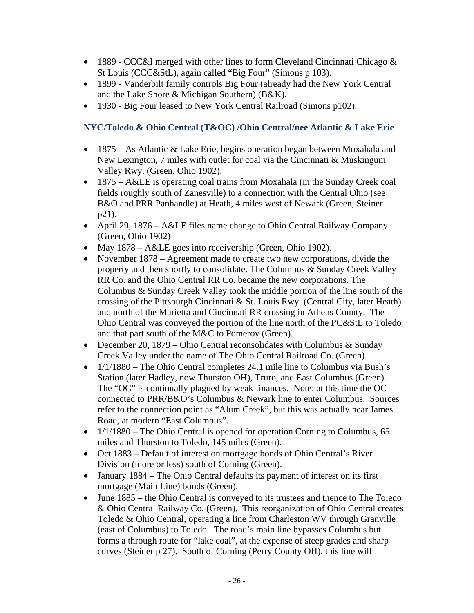- 1889 CCC&I merged with other lines to form Cleveland Cincinnati Chicago  $\&$ St Louis (CCC&StL), again called "Big Four" (Simons p 103).
- 1899 Vanderbilt family controls Big Four (already had the New York Central and the Lake Shore & Michigan Southern) (B&K).
- 1930 Big Four leased to New York Central Railroad (Simons p102).

#### **NYC/Toledo & Ohio Central (T&OC) /Ohio Central/nee Atlantic & Lake Erie**

- 1875 As Atlantic & Lake Erie, begins operation began between Moxahala and New Lexington, 7 miles with outlet for coal via the Cincinnati & Muskingum Valley Rwy. (Green, Ohio 1902).
- 1875 A&LE is operating coal trains from Moxahala (in the Sunday Creek coal fields roughly south of Zanesville) to a connection with the Central Ohio (see B&O and PRR Panhandle) at Heath, 4 miles west of Newark (Green, Steiner p21).
- April 29, 1876 A&LE files name change to Ohio Central Railway Company (Green, Ohio 1902)
- May 1878 A&LE goes into receivership (Green, Ohio 1902).
- November 1878 Agreement made to create two new corporations, divide the property and then shortly to consolidate. The Columbus & Sunday Creek Valley RR Co. and the Ohio Central RR Co. became the new corporations. The Columbus & Sunday Creek Valley took the middle portion of the line south of the crossing of the Pittsburgh Cincinnati & St. Louis Rwy. (Central City, later Heath) and north of the Marietta and Cincinnati RR crossing in Athens County. The Ohio Central was conveyed the portion of the line north of the PC&StL to Toledo and that part south of the M&C to Pomeroy (Green).
- December 20, 1879 Ohio Central reconsolidates with Columbus & Sunday Creek Valley under the name of The Ohio Central Railroad Co. (Green).
- $\bullet$  1/1/1880 The Ohio Central completes 24.1 mile line to Columbus via Bush's Station (later Hadley, now Thurston OH), Truro, and East Columbus (Green). The "OC" is continually plagued by weak finances. Note: at this time the OC connected to PRR/B&O's Columbus & Newark line to enter Columbus. Sources refer to the connection point as "Alum Creek", but this was actually near James Road, at modern "East Columbus".
- $1/1/1880$  The Ohio Central is opened for operation Corning to Columbus, 65 miles and Thurston to Toledo, 145 miles (Green).
- Oct 1883 Default of interest on mortgage bonds of Ohio Central's River Division (more or less) south of Corning (Green).
- January 1884 The Ohio Central defaults its payment of interest on its first mortgage (Main Line) bonds (Green).
- June 1885 the Ohio Central is conveyed to its trustees and thence to The Toledo & Ohio Central Railway Co. (Green). This reorganization of Ohio Central creates Toledo & Ohio Central, operating a line from Charleston WV through Granville (east of Columbus) to Toledo. The road's main line bypasses Columbus but forms a through route for "lake coal", at the expense of steep grades and sharp curves (Steiner p 27). South of Corning (Perry County OH), this line will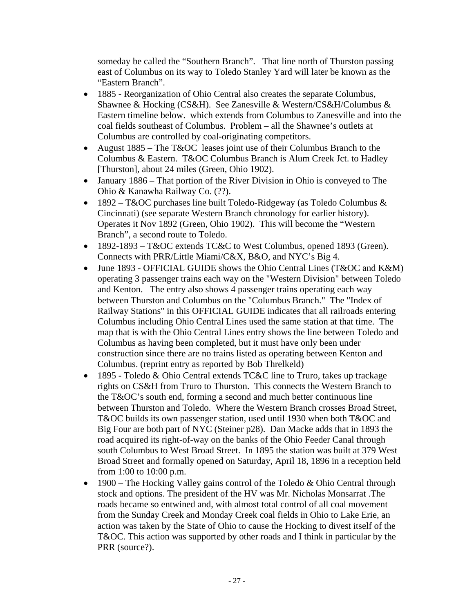someday be called the "Southern Branch". That line north of Thurston passing east of Columbus on its way to Toledo Stanley Yard will later be known as the "Eastern Branch".

- 1885 Reorganization of Ohio Central also creates the separate Columbus, Shawnee & Hocking (CS&H). See Zanesville & Western/CS&H/Columbus & Eastern timeline below. which extends from Columbus to Zanesville and into the coal fields southeast of Columbus. Problem – all the Shawnee's outlets at Columbus are controlled by coal-originating competitors.
- August 1885 The T&OC leases joint use of their Columbus Branch to the Columbus & Eastern. T&OC Columbus Branch is Alum Creek Jct. to Hadley [Thurston], about 24 miles (Green, Ohio 1902).
- January 1886 That portion of the River Division in Ohio is conveyed to The Ohio & Kanawha Railway Co. (??).
- 1892 T&OC purchases line built Toledo-Ridgeway (as Toledo Columbus  $\&$ Cincinnati) (see separate Western Branch chronology for earlier history). Operates it Nov 1892 (Green, Ohio 1902). This will become the "Western Branch", a second route to Toledo.
- 1892-1893 T&OC extends TC&C to West Columbus, opened 1893 (Green). Connects with PRR/Little Miami/C&X, B&O, and NYC's Big 4.
- June 1893 OFFICIAL GUIDE shows the Ohio Central Lines (T&OC and K&M) operating 3 passenger trains each way on the "Western Division" between Toledo and Kenton. The entry also shows 4 passenger trains operating each way between Thurston and Columbus on the "Columbus Branch." The "Index of Railway Stations" in this OFFICIAL GUIDE indicates that all railroads entering Columbus including Ohio Central Lines used the same station at that time. The map that is with the Ohio Central Lines entry shows the line between Toledo and Columbus as having been completed, but it must have only been under construction since there are no trains listed as operating between Kenton and Columbus. (reprint entry as reported by Bob Threlkeld)
- 1895 Toledo & Ohio Central extends TC&C line to Truro, takes up trackage rights on CS&H from Truro to Thurston. This connects the Western Branch to the T&OC's south end, forming a second and much better continuous line between Thurston and Toledo. Where the Western Branch crosses Broad Street, T&OC builds its own passenger station, used until 1930 when both T&OC and Big Four are both part of NYC (Steiner p28). Dan Macke adds that in 1893 the road acquired its right-of-way on the banks of the Ohio Feeder Canal through south Columbus to West Broad Street. In 1895 the station was built at 379 West Broad Street and formally opened on Saturday, April 18, 1896 in a reception held from 1:00 to 10:00 p.m.
- 1900 The Hocking Valley gains control of the Toledo  $& Ohio Central through$ stock and options. The president of the HV was Mr. Nicholas Monsarrat .The roads became so entwined and, with almost total control of all coal movement from the Sunday Creek and Monday Creek coal fields in Ohio to Lake Erie, an action was taken by the State of Ohio to cause the Hocking to divest itself of the T&OC. This action was supported by other roads and I think in particular by the PRR (source?).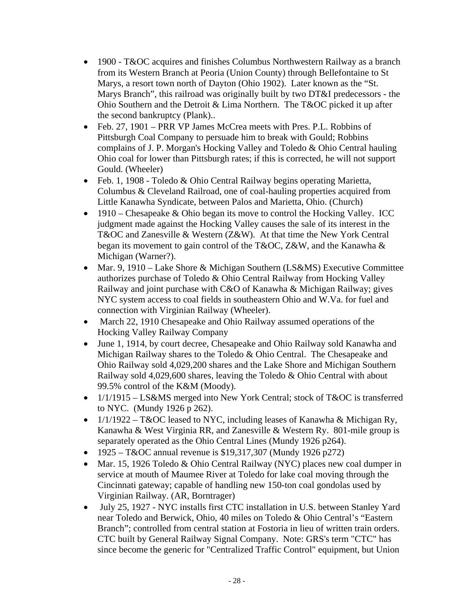- 1900 T&OC acquires and finishes Columbus Northwestern Railway as a branch from its Western Branch at Peoria (Union County) through Bellefontaine to St Marys, a resort town north of Dayton (Ohio 1902). Later known as the "St. Marys Branch", this railroad was originally built by two DT&I predecessors - the Ohio Southern and the Detroit & Lima Northern. The T&OC picked it up after the second bankruptcy (Plank)..
- Feb. 27, 1901 PRR VP James McCrea meets with Pres. P.L. Robbins of Pittsburgh Coal Company to persuade him to break with Gould; Robbins complains of J. P. Morgan's Hocking Valley and Toledo & Ohio Central hauling Ohio coal for lower than Pittsburgh rates; if this is corrected, he will not support Gould. (Wheeler)
- Feb. 1, 1908 Toledo & Ohio Central Railway begins operating Marietta, Columbus & Cleveland Railroad, one of coal-hauling properties acquired from Little Kanawha Syndicate, between Palos and Marietta, Ohio. (Church)
- $\bullet$  1910 Chesapeake & Ohio began its move to control the Hocking Valley. ICC judgment made against the Hocking Valley causes the sale of its interest in the T&OC and Zanesville & Western (Z&W). At that time the New York Central began its movement to gain control of the T&OC, Z&W, and the Kanawha & Michigan (Warner?).
- Mar. 9, 1910 Lake Shore & Michigan Southern (LS&MS) Executive Committee authorizes purchase of Toledo & Ohio Central Railway from Hocking Valley Railway and joint purchase with C&O of Kanawha & Michigan Railway; gives NYC system access to coal fields in southeastern Ohio and W.Va. for fuel and connection with Virginian Railway (Wheeler).
- March 22, 1910 Chesapeake and Ohio Railway assumed operations of the Hocking Valley Railway Company
- June 1, 1914, by court decree, Chesapeake and Ohio Railway sold Kanawha and Michigan Railway shares to the Toledo & Ohio Central. The Chesapeake and Ohio Railway sold 4,029,200 shares and the Lake Shore and Michigan Southern Railway sold 4,029,600 shares, leaving the Toledo & Ohio Central with about 99.5% control of the K&M (Moody).
- $1/1/1915 LS\&MS$  merged into New York Central; stock of T&OC is transferred to NYC. (Mundy 1926 p 262).
- $1/1/1922 T&0C$  leased to NYC, including leases of Kanawha & Michigan Ry, Kanawha & West Virginia RR, and Zanesville & Western Ry. 801-mile group is separately operated as the Ohio Central Lines (Mundy 1926 p264).
- 1925 T&OC annual revenue is \$19,317,307 (Mundy 1926 p272)
- Mar. 15, 1926 Toledo & Ohio Central Railway (NYC) places new coal dumper in service at mouth of Maumee River at Toledo for lake coal moving through the Cincinnati gateway; capable of handling new 150-ton coal gondolas used by Virginian Railway. (AR, Borntrager)
- July 25, 1927 NYC installs first CTC installation in U.S. between Stanley Yard near Toledo and Berwick, Ohio, 40 miles on Toledo & Ohio Central's "Eastern Branch"; controlled from central station at Fostoria in lieu of written train orders. CTC built by General Railway Signal Company. Note: GRS's term "CTC" has since become the generic for "Centralized Traffic Control" equipment, but Union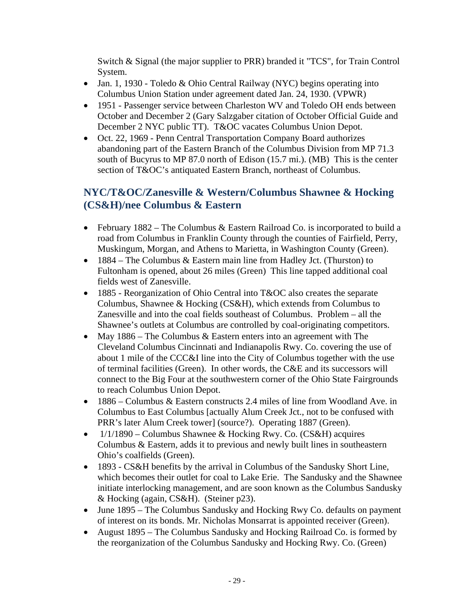Switch & Signal (the major supplier to PRR) branded it "TCS", for Train Control System.

- Jan. 1, 1930 Toledo & Ohio Central Railway (NYC) begins operating into Columbus Union Station under agreement dated Jan. 24, 1930. (VPWR)
- 1951 Passenger service between Charleston WV and Toledo OH ends between October and December 2 (Gary Salzgaber citation of October Official Guide and December 2 NYC public TT). T&OC vacates Columbus Union Depot.
- Oct. 22, 1969 Penn Central Transportation Company Board authorizes abandoning part of the Eastern Branch of the Columbus Division from MP 71.3 south of Bucyrus to MP 87.0 north of Edison (15.7 mi.). (MB) This is the center section of T&OC's antiquated Eastern Branch, northeast of Columbus.

# **NYC/T&OC/Zanesville & Western/Columbus Shawnee & Hocking (CS&H)/nee Columbus & Eastern**

- February  $1882$  The Columbus & Eastern Railroad Co. is incorporated to build a road from Columbus in Franklin County through the counties of Fairfield, Perry, Muskingum, Morgan, and Athens to Marietta, in Washington County (Green).
- $\bullet$  1884 The Columbus & Eastern main line from Hadley Jct. (Thurston) to Fultonham is opened, about 26 miles (Green) This line tapped additional coal fields west of Zanesville.
- 1885 Reorganization of Ohio Central into T&OC also creates the separate Columbus, Shawnee & Hocking (CS&H), which extends from Columbus to Zanesville and into the coal fields southeast of Columbus. Problem – all the Shawnee's outlets at Columbus are controlled by coal-originating competitors.
- May 1886 The Columbus & Eastern enters into an agreement with The Cleveland Columbus Cincinnati and Indianapolis Rwy. Co. covering the use of about 1 mile of the CCC&I line into the City of Columbus together with the use of terminal facilities (Green). In other words, the C&E and its successors will connect to the Big Four at the southwestern corner of the Ohio State Fairgrounds to reach Columbus Union Depot.
- 1886 Columbus & Eastern constructs 2.4 miles of line from Woodland Ave. in Columbus to East Columbus [actually Alum Creek Jct., not to be confused with PRR's later Alum Creek tower] (source?). Operating 1887 (Green).
- $\bullet$  1/1/1890 Columbus Shawnee & Hocking Rwy. Co. (CS&H) acquires Columbus & Eastern, adds it to previous and newly built lines in southeastern Ohio's coalfields (Green).
- 1893 CS&H benefits by the arrival in Columbus of the Sandusky Short Line, which becomes their outlet for coal to Lake Erie. The Sandusky and the Shawnee initiate interlocking management, and are soon known as the Columbus Sandusky & Hocking (again, CS&H). (Steiner p23).
- June 1895 The Columbus Sandusky and Hocking Rwy Co. defaults on payment of interest on its bonds. Mr. Nicholas Monsarrat is appointed receiver (Green).
- August 1895 The Columbus Sandusky and Hocking Railroad Co. is formed by the reorganization of the Columbus Sandusky and Hocking Rwy. Co. (Green)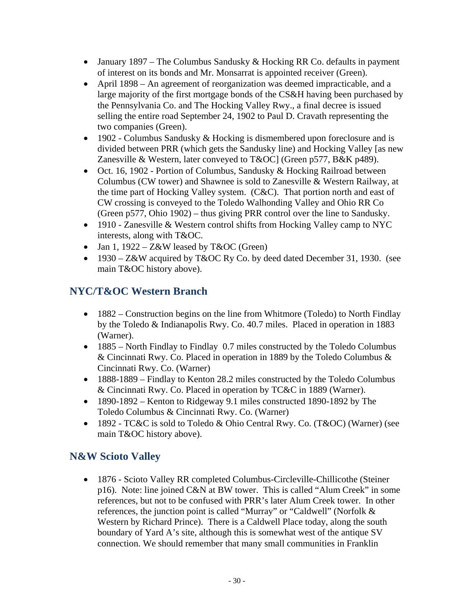- January 1897 The Columbus Sandusky  $&$  Hocking RR Co. defaults in payment of interest on its bonds and Mr. Monsarrat is appointed receiver (Green).
- April 1898 An agreement of reorganization was deemed impracticable, and a large majority of the first mortgage bonds of the CS&H having been purchased by the Pennsylvania Co. and The Hocking Valley Rwy., a final decree is issued selling the entire road September 24, 1902 to Paul D. Cravath representing the two companies (Green).
- $\bullet$  1902 Columbus Sandusky & Hocking is dismembered upon foreclosure and is divided between PRR (which gets the Sandusky line) and Hocking Valley [as new Zanesville & Western, later conveyed to T&OC] (Green p577, B&K p489).
- Oct. 16, 1902 Portion of Columbus, Sandusky & Hocking Railroad between Columbus (CW tower) and Shawnee is sold to Zanesville & Western Railway, at the time part of Hocking Valley system. (C&C). That portion north and east of CW crossing is conveyed to the Toledo Walhonding Valley and Ohio RR Co (Green p577, Ohio 1902) – thus giving PRR control over the line to Sandusky.
- 1910 Zanesville & Western control shifts from Hocking Valley camp to NYC interests, along with T&OC.
- Jan 1,  $1922 Z\&W$  leased by  $T\&OC$  (Green)
- 1930 Z&W acquired by T&OC Ry Co. by deed dated December 31, 1930. (see main T&OC history above).

# **NYC/T&OC Western Branch**

- 1882 Construction begins on the line from Whitmore (Toledo) to North Findlay by the Toledo & Indianapolis Rwy. Co. 40.7 miles. Placed in operation in 1883 (Warner).
- 1885 North Findlay to Findlay 0.7 miles constructed by the Toledo Columbus & Cincinnati Rwy. Co. Placed in operation in 1889 by the Toledo Columbus & Cincinnati Rwy. Co. (Warner)
- 1888-1889 Findlay to Kenton 28.2 miles constructed by the Toledo Columbus & Cincinnati Rwy. Co. Placed in operation by TC&C in 1889 (Warner).
- 1890-1892 Kenton to Ridgeway 9.1 miles constructed 1890-1892 by The Toledo Columbus & Cincinnati Rwy. Co. (Warner)
- 1892 TC&C is sold to Toledo & Ohio Central Rwy. Co. (T&OC) (Warner) (see main T&OC history above).

# **N&W Scioto Valley**

• 1876 - Scioto Valley RR completed Columbus-Circleville-Chillicothe (Steiner p16). Note: line joined C&N at BW tower. This is called "Alum Creek" in some references, but not to be confused with PRR's later Alum Creek tower. In other references, the junction point is called "Murray" or "Caldwell" (Norfolk & Western by Richard Prince). There is a Caldwell Place today, along the south boundary of Yard A's site, although this is somewhat west of the antique SV connection. We should remember that many small communities in Franklin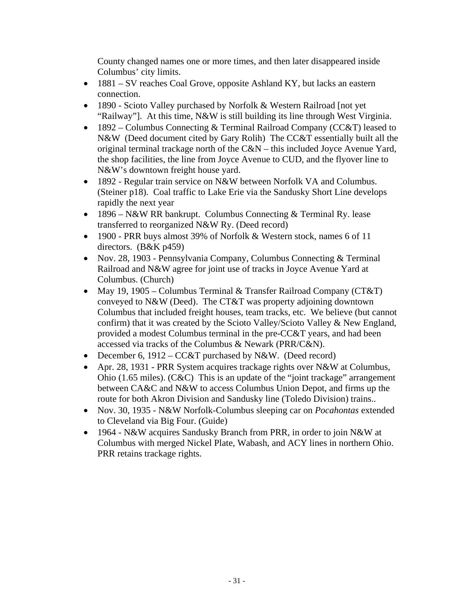County changed names one or more times, and then later disappeared inside Columbus' city limits.

- 1881 SV reaches Coal Grove, opposite Ashland KY, but lacks an eastern connection.
- 1890 Scioto Valley purchased by Norfolk & Western Railroad [not yet] "Railway"]. At this time, N&W is still building its line through West Virginia.
- 1892 Columbus Connecting  $&$  Terminal Railroad Company (CC $&$ T) leased to N&W (Deed document cited by Gary Rolih) The CC&T essentially built all the original terminal trackage north of the C&N – this included Joyce Avenue Yard, the shop facilities, the line from Joyce Avenue to CUD, and the flyover line to N&W's downtown freight house yard.
- 1892 Regular train service on N&W between Norfolk VA and Columbus. (Steiner p18). Coal traffic to Lake Erie via the Sandusky Short Line develops rapidly the next year
- 1896 N&W RR bankrupt. Columbus Connecting & Terminal Ry. lease transferred to reorganized N&W Ry. (Deed record)
- 1900 PRR buys almost 39% of Norfolk & Western stock, names 6 of 11 directors. (B&K p459)
- Nov. 28, 1903 Pennsylvania Company, Columbus Connecting & Terminal Railroad and N&W agree for joint use of tracks in Joyce Avenue Yard at Columbus. (Church)
- May 19, 1905 Columbus Terminal & Transfer Railroad Company (CT&T) conveyed to N&W (Deed). The CT&T was property adjoining downtown Columbus that included freight houses, team tracks, etc. We believe (but cannot confirm) that it was created by the Scioto Valley/Scioto Valley & New England, provided a modest Columbus terminal in the pre-CC&T years, and had been accessed via tracks of the Columbus & Newark (PRR/C&N).
- December 6, 1912 CC&T purchased by N&W. (Deed record)
- Apr. 28, 1931 PRR System acquires trackage rights over N&W at Columbus, Ohio (1.65 miles). (C&C) This is an update of the "joint trackage" arrangement between CA&C and N&W to access Columbus Union Depot, and firms up the route for both Akron Division and Sandusky line (Toledo Division) trains..
- Nov. 30, 1935 N&W Norfolk-Columbus sleeping car on *Pocahontas* extended to Cleveland via Big Four. (Guide)
- 1964 N&W acquires Sandusky Branch from PRR, in order to join N&W at Columbus with merged Nickel Plate, Wabash, and ACY lines in northern Ohio. PRR retains trackage rights.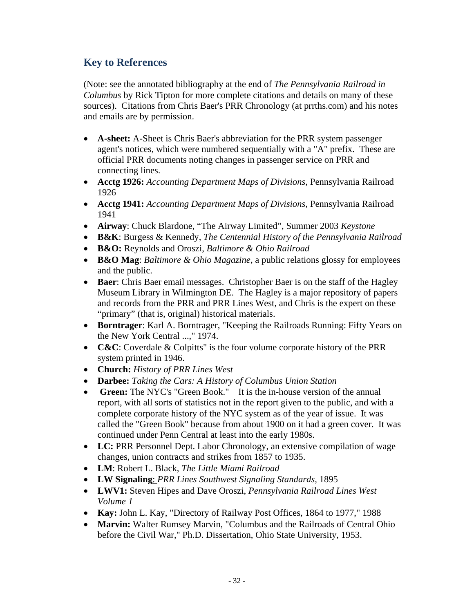#### **Key to References**

(Note: see the annotated bibliography at the end of *The Pennsylvania Railroad in Columbus* by Rick Tipton for more complete citations and details on many of these sources). Citations from Chris Baer's PRR Chronology (at prrths.com) and his notes and emails are by permission.

- **A-sheet:** A-Sheet is Chris Baer's abbreviation for the PRR system passenger agent's notices, which were numbered sequentially with a "A" prefix. These are official PRR documents noting changes in passenger service on PRR and connecting lines.
- **Acctg 1926:** *Accounting Department Maps of Divisions*, Pennsylvania Railroad 1926
- **Acctg 1941:** *Accounting Department Maps of Divisions*, Pennsylvania Railroad 1941
- **Airway**: Chuck Blardone, "The Airway Limited", Summer 2003 *Keystone*
- **B&K**: Burgess & Kennedy, *The Centennial History of the Pennsylvania Railroad*
- **B&O:** Reynolds and Oroszi, *Baltimore & Ohio Railroad*
- **B&O Mag**: *Baltimore & Ohio Magazine*, a public relations glossy for employees and the public.
- **Baer**: Chris Baer email messages. Christopher Baer is on the staff of the Hagley Museum Library in Wilmington DE. The Hagley is a major repository of papers and records from the PRR and PRR Lines West, and Chris is the expert on these "primary" (that is, original) historical materials.
- **Borntrager**: Karl A. Borntrager, "Keeping the Railroads Running: Fifty Years on the New York Central ...," 1974.
- **C&C**: Coverdale & Colpitts" is the four volume corporate history of the PRR system printed in 1946.
- **Church:** *History of PRR Lines West*
- **Darbee:** *Taking the Cars: A History of Columbus Union Station*
- **Green:** The NYC's "Green Book." It is the in-house version of the annual report, with all sorts of statistics not in the report given to the public, and with a complete corporate history of the NYC system as of the year of issue. It was called the "Green Book" because from about 1900 on it had a green cover. It was continued under Penn Central at least into the early 1980s.
- LC: PRR Personnel Dept. Labor Chronology, an extensive compilation of wage changes, union contracts and strikes from 1857 to 1935.
- **LM**: Robert L. Black, *The Little Miami Railroad*
- **LW Signaling**: *PRR Lines Southwest Signaling Standards,* 1895
- **LWV1:** Steven Hipes and Dave Oroszi, *Pennsylvania Railroad Lines West Volume 1*
- **Kay:** John L. Kay, "Directory of Railway Post Offices, 1864 to 1977," 1988
- Marvin: Walter Rumsey Marvin, "Columbus and the Railroads of Central Ohio before the Civil War," Ph.D. Dissertation, Ohio State University, 1953.